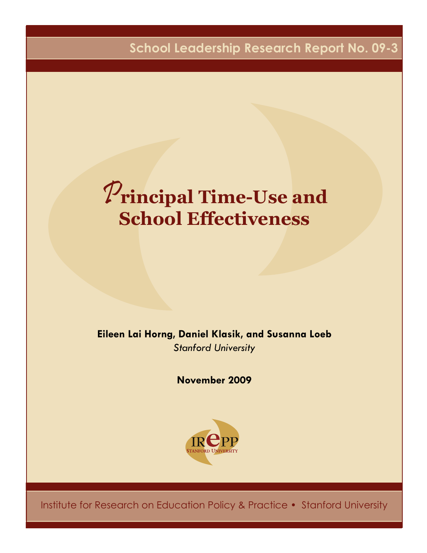**School Leadership Research Report No. 09-3**

# P**rincipal Time-Use and School Effectiveness**

**Eileen Lai Horng, Daniel Klasik, and Susanna Loeb** *Stanford University*

**November 2009**



Institute for Research on Education Policy & Practice • Stanford University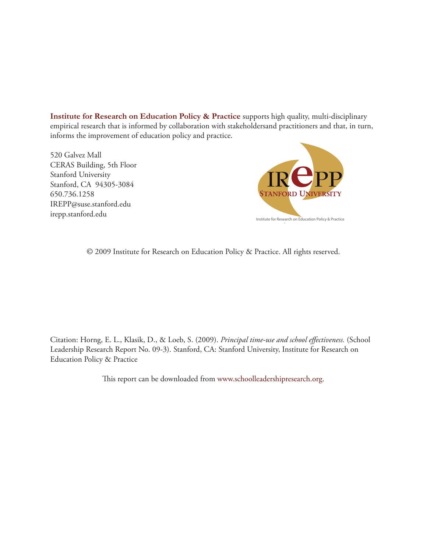**Institute for Research on Education Policy & Practice** supports high quality, multi-disciplinary empirical research that is informed by collaboration with stakeholdersand practitioners and that, in turn, informs the improvement of education policy and practice.

520 Galvez Mall CERAS Building, 5th Floor Stanford University Stanford, CA 94305-3084 650.736.1258 IREPP@suse.stanford.edu



© 2009 Institute for Research on Education Policy & Practice. All rights reserved.

Citation: Horng, E. L., Klasik, D., & Loeb, S. (2009). *Principal time-use and school effectiveness.* (School Leadership Research Report No. 09-3). Stanford, CA: Stanford University, Institute for Research on Education Policy & Practice

This report can be downloaded from www.schoolleadershipresearch.org.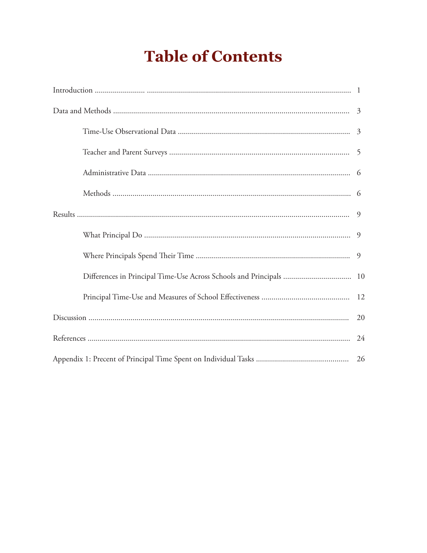# **Table of Contents**

| 9  |
|----|
|    |
|    |
|    |
|    |
| 20 |
|    |
|    |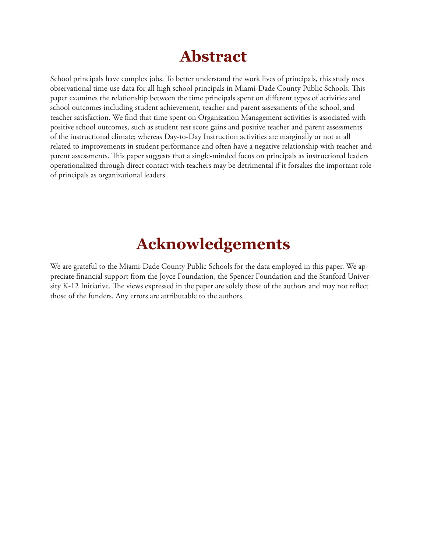### **Abstract**

School principals have complex jobs. To better understand the work lives of principals, this study uses observational time-use data for all high school principals in Miami-Dade County Public Schools. This paper examines the relationship between the time principals spent on different types of activities and school outcomes including student achievement, teacher and parent assessments of the school, and teacher satisfaction. We find that time spent on Organization Management activities is associated with positive school outcomes, such as student test score gains and positive teacher and parent assessments of the instructional climate; whereas Day-to-Day Instruction activities are marginally or not at all related to improvements in student performance and often have a negative relationship with teacher and parent assessments. This paper suggests that a single-minded focus on principals as instructional leaders operationalized through direct contact with teachers may be detrimental if it forsakes the important role of principals as organizational leaders.

## **Acknowledgements**

We are grateful to the Miami-Dade County Public Schools for the data employed in this paper. We appreciate financial support from the Joyce Foundation, the Spencer Foundation and the Stanford University K-12 Initiative. The views expressed in the paper are solely those of the authors and may not reflect those of the funders. Any errors are attributable to the authors.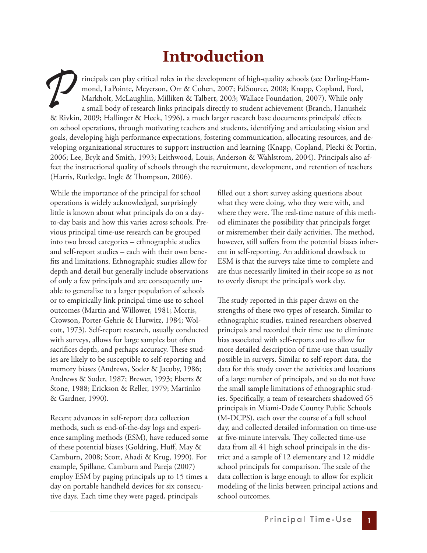## **Introduction**

rincipals can play critical roles in the development of high-quality schools (see Darling-Hammond, LaPointe, Meyerson, Orr & Cohen, 2007; EdSource, 2008; Knapp, Copland, Ford, Markholt, McLaughlin, Milliken & Talbert, 2003; Wallace Foundation, 2007). While only a small body of research links principals directly to student achievement (Branch, Hanushek Fincipals can play critical roles in the development of high-quality schools (see Darling-Han mond, LaPointe, Meyerson, Orr & Cohen, 2007; EdSource, 2008; Knapp, Copland, Ford, Markholt, McLaughlin, Milliken & Talbert, 200 on school operations, through motivating teachers and students, identifying and articulating vision and goals, developing high performance expectations, fostering communication, allocating resources, and developing organizational structures to support instruction and learning (Knapp, Copland, Plecki & Portin, 2006; Lee, Bryk and Smith, 1993; Leithwood, Louis, Anderson & Wahlstrom, 2004). Principals also affect the instructional quality of schools through the recruitment, development, and retention of teachers (Harris, Rutledge, Ingle & Thompson, 2006).

While the importance of the principal for school operations is widely acknowledged, surprisingly little is known about what principals do on a dayto-day basis and how this varies across schools. Previous principal time-use research can be grouped into two broad categories – ethnographic studies and self-report studies – each with their own benefits and limitations. Ethnographic studies allow for depth and detail but generally include observations of only a few principals and are consequently unable to generalize to a larger population of schools or to empirically link principal time-use to school outcomes (Martin and Willower, 1981; Morris, Crowson, Porter-Gehrie & Hurwitz, 1984; Wolcott, 1973). Self-report research, usually conducted with surveys, allows for large samples but often sacrifices depth, and perhaps accuracy. These studies are likely to be susceptible to self-reporting and memory biases (Andrews, Soder & Jacoby, 1986; Andrews & Soder, 1987; Brewer, 1993; Eberts & Stone, 1988; Erickson & Reller, 1979; Martinko & Gardner, 1990).

Recent advances in self-report data collection methods, such as end-of-the-day logs and experience sampling methods (ESM), have reduced some of these potential biases (Goldring, Huff, May & Camburn, 2008; Scott, Ahadi & Krug, 1990). For example, Spillane, Camburn and Pareja (2007) employ ESM by paging principals up to 15 times a day on portable handheld devices for six consecutive days. Each time they were paged, principals

filled out a short survey asking questions about what they were doing, who they were with, and where they were. The real-time nature of this method eliminates the possibility that principals forget or misremember their daily activities. The method, however, still suffers from the potential biases inherent in self-reporting. An additional drawback to ESM is that the surveys take time to complete and are thus necessarily limited in their scope so as not to overly disrupt the principal's work day.

The study reported in this paper draws on the strengths of these two types of research. Similar to ethnographic studies, trained researchers observed principals and recorded their time use to eliminate bias associated with self-reports and to allow for more detailed description of time-use than usually possible in surveys. Similar to self-report data, the data for this study cover the activities and locations of a large number of principals, and so do not have the small sample limitations of ethnographic studies. Specifically, a team of researchers shadowed 65 principals in Miami-Dade County Public Schools (M-DCPS), each over the course of a full school day, and collected detailed information on time-use at five-minute intervals. They collected time-use data from all 41 high school principals in the district and a sample of 12 elementary and 12 middle school principals for comparison. The scale of the data collection is large enough to allow for explicit modeling of the links between principal actions and school outcomes.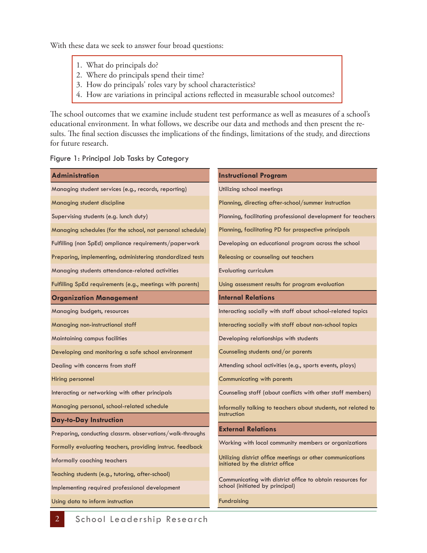With these data we seek to answer four broad questions:

- 1. What do principals do?
- 2. Where do principals spend their time?
- 3. How do principals' roles vary by school characteristics?
- 4. How are variations in principal actions reflected in measurable school outcomes?

The school outcomes that we examine include student test performance as well as measures of a school's educational environment. In what follows, we describe our data and methods and then present the results. The final section discusses the implications of the findings, limitations of the study, and directions for future research.

| Figure 1: Principal Job Tasks by Category |  |  |  |  |  |  |  |
|-------------------------------------------|--|--|--|--|--|--|--|
|-------------------------------------------|--|--|--|--|--|--|--|

| <b>Administration</b>                                      | <b>Instructional Program</b>                                                                   |  |  |  |
|------------------------------------------------------------|------------------------------------------------------------------------------------------------|--|--|--|
| Managing student services (e.g., records, reporting)       | Utilizing school meetings                                                                      |  |  |  |
| Managing student discipline                                | Planning, directing after-school/summer instruction                                            |  |  |  |
| Supervising students (e.g. lunch duty)                     | Planning, facilitating professional development for teachers                                   |  |  |  |
| Managing schedules (for the school, not personal schedule) | Planning, facilitating PD for prospective principals                                           |  |  |  |
| Fulfilling (non SpEd) ompliance requirements/paperwork     | Developing an educational program across the school                                            |  |  |  |
| Preparing, implementing, administering standardized tests  | Releasing or counseling out teachers                                                           |  |  |  |
| Managing students attendance-related activities            | <b>Evaluating curriculum</b>                                                                   |  |  |  |
| Fulfilling SpEd requirements (e.g., meetings with parents) | Using assessment results for program evaluation                                                |  |  |  |
| <b>Organization Management</b>                             | <b>Internal Relations</b>                                                                      |  |  |  |
| Managing budgets, resources                                | Interacting socially with staff about school-related topics                                    |  |  |  |
| Managing non-instructional staff                           | Interacting socially with staff about non-school topics                                        |  |  |  |
| Maintaining campus facilities                              | Developing relationships with students                                                         |  |  |  |
| Developing and monitoring a safe school environment        | Counseling students and/or parents                                                             |  |  |  |
| Dealing with concerns from staff                           | Attending school activities (e.g., sports events, plays)                                       |  |  |  |
| Hiring personnel                                           | Communicating with parents                                                                     |  |  |  |
| Interacting or networking with other principals            | Counseling staff (about conflicts with other staff members)                                    |  |  |  |
| Managing personal, school-related schedule                 | Informally talking to teachers about students, not related to                                  |  |  |  |
| <b>Day-to-Day Instruction</b>                              | instruction                                                                                    |  |  |  |
| Preparing, conducting classrm. observations/walk-throughs  | <b>External Relations</b>                                                                      |  |  |  |
| Formally evaluating teachers, providing instruc. feedback  | Working with local community members or organizations                                          |  |  |  |
| Informally coaching teachers                               | Utilizing district office meetings or other communications<br>initiated by the district office |  |  |  |
| Teaching students (e.g., tutoring, after-school)           | Communicating with district office to obtain resources for                                     |  |  |  |
| Implementing required professional development             | school (initiated by principal)                                                                |  |  |  |
| Using data to inform instruction                           | Fundraising                                                                                    |  |  |  |
|                                                            |                                                                                                |  |  |  |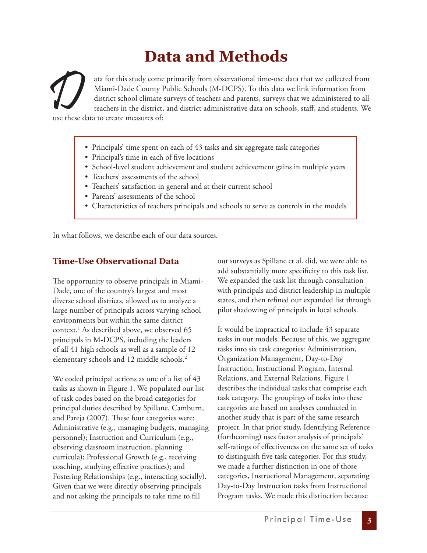# **Data and Methods**

Duse these ata for this study come primarily from observational time-use data that we collected from Miami-Dade County Public Schools (M-DCPS). To this data we link information from district school climate surveys of teachers and parents, surveys that we administered to all teachers in the district, and district administrative data on schools, staff, and students. We

use these data to create measures of:

- Principals' time spent on each of 43 tasks and six aggregate task categories
- Principal's time in each of five locations
- School-level student achievement and student achievement gains in multiple years
- Teachers' assessments of the school
- Teachers' satisfaction in general and at their current school
- Parents' assessments of the school
- Characteristics of teachers principals and schools to serve as controls in the models

In what follows, we describe each of our data sources.

#### **Time-Use Observational Data**

The opportunity to observe principals in Miami-Dade, one of the country's largest and most diverse school districts, allowed us to analyze a large number of principals across varying school environments but within the same district context.1 As described above, we observed 65 principals in M-DCPS, including the leaders of all 41 high schools as well as a sample of 12 elementary schools and 12 middle schools.<sup>2</sup>

We coded principal actions as one of a list of 43 tasks as shown in Figure 1. We populated our list of task codes based on the broad categories for principal duties described by Spillane, Camburn, and Pareja (2007). These four categories were: Administrative (e.g., managing budgets, managing personnel); Instruction and Curriculum (e.g., observing classroom instruction, planning curricula); Professional Growth (e.g., receiving coaching, studying effective practices); and Fostering Relationships (e.g., interacting socially). Given that we were directly observing principals and not asking the principals to take time to fill

out surveys as Spillane et al. did, we were able to add substantially more specificity to this task list. We expanded the task list through consultation with principals and district leadership in multiple states, and then refined our expanded list through pilot shadowing of principals in local schools.

It would be impractical to include 43 separate tasks in our models. Because of this, we aggregate tasks into six task categories: Administration, Organization Management, Day-to-Day Instruction, Instructional Program, Internal Relations, and External Relations. Figure 1 describes the individual tasks that comprise each task category. The groupings of tasks into these categories are based on analyses conducted in another study that is part of the same research project. In that prior study, Identifying Reference (forthcoming) uses factor analysis of principals' self-ratings of effectiveness on the same set of tasks to distinguish five task categories. For this study, we made a further distinction in one of those categories, Instructional Management, separating Day-to-Day Instruction tasks from Instructional Program tasks. We made this distinction because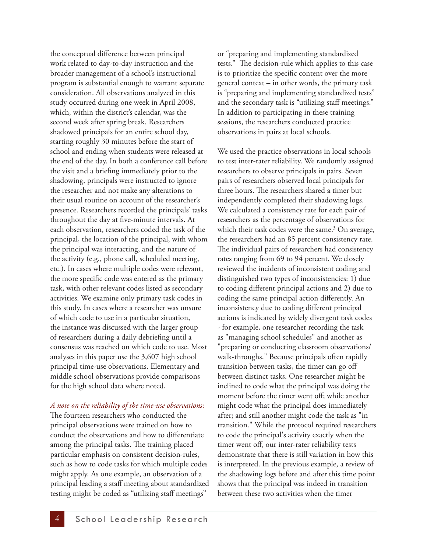the conceptual difference between principal work related to day-to-day instruction and the broader management of a school's instructional program is substantial enough to warrant separate consideration. All observations analyzed in this study occurred during one week in April 2008, which, within the district's calendar, was the second week after spring break. Researchers shadowed principals for an entire school day, starting roughly 30 minutes before the start of school and ending when students were released at the end of the day. In both a conference call before the visit and a briefing immediately prior to the shadowing, principals were instructed to ignore the researcher and not make any alterations to their usual routine on account of the researcher's presence. Researchers recorded the principals' tasks throughout the day at five-minute intervals. At each observation, researchers coded the task of the principal, the location of the principal, with whom the principal was interacting, and the nature of the activity (e.g., phone call, scheduled meeting, etc.). In cases where multiple codes were relevant, the more specific code was entered as the primary task, with other relevant codes listed as secondary activities. We examine only primary task codes in this study. In cases where a researcher was unsure of which code to use in a particular situation, the instance was discussed with the larger group of researchers during a daily debriefing until a consensus was reached on which code to use. Most analyses in this paper use the 3,607 high school principal time-use observations. Elementary and middle school observations provide comparisons for the high school data where noted.

*A note on the reliability of the time-use observations*: The fourteen researchers who conducted the principal observations were trained on how to conduct the observations and how to differentiate among the principal tasks. The training placed particular emphasis on consistent decision-rules, such as how to code tasks for which multiple codes might apply. As one example, an observation of a principal leading a staff meeting about standardized testing might be coded as "utilizing staff meetings"

or "preparing and implementing standardized tests." The decision-rule which applies to this case is to prioritize the specific content over the more general context – in other words, the primary task is "preparing and implementing standardized tests" and the secondary task is "utilizing staff meetings." In addition to participating in these training sessions, the researchers conducted practice observations in pairs at local schools.

We used the practice observations in local schools to test inter-rater reliability. We randomly assigned researchers to observe principals in pairs. Seven pairs of researchers observed local principals for three hours. The researchers shared a timer but independently completed their shadowing logs. We calculated a consistency rate for each pair of researchers as the percentage of observations for which their task codes were the same.<sup>3</sup> On average, the researchers had an 85 percent consistency rate. The individual pairs of researchers had consistency rates ranging from 69 to 94 percent. We closely reviewed the incidents of inconsistent coding and distinguished two types of inconsistencies: 1) due to coding different principal actions and 2) due to coding the same principal action differently. An inconsistency due to coding different principal actions is indicated by widely divergent task codes - for example, one researcher recording the task as "managing school schedules" and another as "preparing or conducting classroom observations/ walk-throughs." Because principals often rapidly transition between tasks, the timer can go off between distinct tasks. One researcher might be inclined to code what the principal was doing the moment before the timer went off; while another might code what the principal does immediately after; and still another might code the task as "in transition." While the protocol required researchers to code the principal's activity exactly when the timer went off, our inter-rater reliability tests demonstrate that there is still variation in how this is interpreted. In the previous example, a review of the shadowing logs before and after this time point shows that the principal was indeed in transition between these two activities when the timer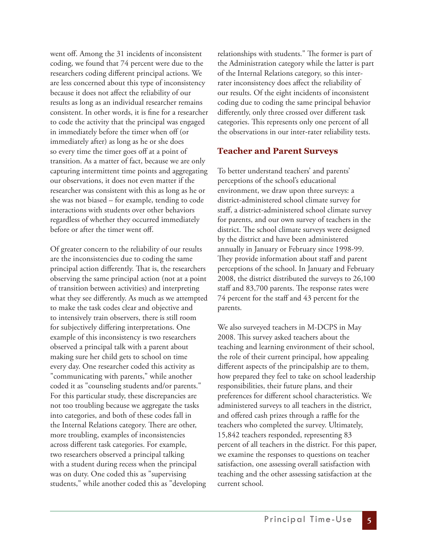went off. Among the 31 incidents of inconsistent coding, we found that 74 percent were due to the researchers coding different principal actions. We are less concerned about this type of inconsistency because it does not affect the reliability of our results as long as an individual researcher remains consistent. In other words, it is fine for a researcher to code the activity that the principal was engaged in immediately before the timer when off (or immediately after) as long as he or she does so every time the timer goes off at a point of transition. As a matter of fact, because we are only capturing intermittent time points and aggregating our observations, it does not even matter if the researcher was consistent with this as long as he or she was not biased – for example, tending to code interactions with students over other behaviors regardless of whether they occurred immediately before or after the timer went off.

Of greater concern to the reliability of our results are the inconsistencies due to coding the same principal action differently. That is, the researchers observing the same principal action (not at a point of transition between activities) and interpreting what they see differently. As much as we attempted to make the task codes clear and objective and to intensively train observers, there is still room for subjectively differing interpretations. One example of this inconsistency is two researchers observed a principal talk with a parent about making sure her child gets to school on time every day. One researcher coded this activity as "communicating with parents," while another coded it as "counseling students and/or parents." For this particular study, these discrepancies are not too troubling because we aggregate the tasks into categories, and both of these codes fall in the Internal Relations category. There are other, more troubling, examples of inconsistencies across different task categories. For example, two researchers observed a principal talking with a student during recess when the principal was on duty. One coded this as "supervising students," while another coded this as "developing

relationships with students." The former is part of the Administration category while the latter is part of the Internal Relations category, so this interrater inconsistency does affect the reliability of our results. Of the eight incidents of inconsistent coding due to coding the same principal behavior differently, only three crossed over different task categories. This represents only one percent of all the observations in our inter-rater reliability tests.

#### **Teacher and Parent Surveys**

To better understand teachers' and parents' perceptions of the school's educational environment, we draw upon three surveys: a district-administered school climate survey for staff, a district-administered school climate survey for parents, and our own survey of teachers in the district. The school climate surveys were designed by the district and have been administered annually in January or February since 1998-99. They provide information about staff and parent perceptions of the school. In January and February 2008, the district distributed the surveys to 26,100 staff and 83,700 parents. The response rates were 74 percent for the staff and 43 percent for the parents.

We also surveyed teachers in M-DCPS in May 2008. This survey asked teachers about the teaching and learning environment of their school, the role of their current principal, how appealing different aspects of the principalship are to them, how prepared they feel to take on school leadership responsibilities, their future plans, and their preferences for different school characteristics. We administered surveys to all teachers in the district, and offered cash prizes through a raffle for the teachers who completed the survey. Ultimately, 15,842 teachers responded, representing 83 percent of all teachers in the district. For this paper, we examine the responses to questions on teacher satisfaction, one assessing overall satisfaction with teaching and the other assessing satisfaction at the current school.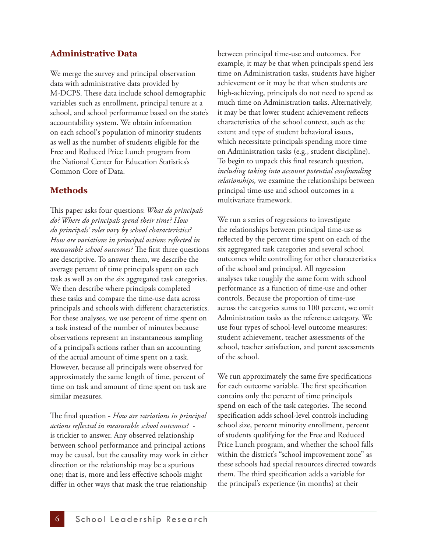#### **Administrative Data**

We merge the survey and principal observation data with administrative data provided by M-DCPS. These data include school demographic variables such as enrollment, principal tenure at a school, and school performance based on the state's accountability system. We obtain information on each school's population of minority students as well as the number of students eligible for the Free and Reduced Price Lunch program from the National Center for Education Statistics's Common Core of Data.

#### **Methods**

This paper asks four questions: *What do principals do? Where do principals spend their time? How do principals' roles vary by school characteristics? How are variations in principal actions reflected in measurable school outcomes?* The first three questions are descriptive. To answer them, we describe the average percent of time principals spent on each task as well as on the six aggregated task categories. We then describe where principals completed these tasks and compare the time-use data across principals and schools with different characteristics. For these analyses, we use percent of time spent on a task instead of the number of minutes because observations represent an instantaneous sampling of a principal's actions rather than an accounting of the actual amount of time spent on a task. However, because all principals were observed for approximately the same length of time, percent of time on task and amount of time spent on task are similar measures.

The final question - *How are variations in principal actions reflected in measurable school outcomes?*  is trickier to answer. Any observed relationship between school performance and principal actions may be causal, but the causality may work in either direction or the relationship may be a spurious one; that is, more and less effective schools might differ in other ways that mask the true relationship

between principal time-use and outcomes. For example, it may be that when principals spend less time on Administration tasks, students have higher achievement or it may be that when students are high-achieving, principals do not need to spend as much time on Administration tasks. Alternatively, it may be that lower student achievement reflects characteristics of the school context, such as the extent and type of student behavioral issues, which necessitate principals spending more time on Administration tasks (e.g., student discipline). To begin to unpack this final research question*, including taking into account potential confounding relationships,* we examine the relationships between principal time-use and school outcomes in a multivariate framework.

We run a series of regressions to investigate the relationships between principal time-use as reflected by the percent time spent on each of the six aggregated task categories and several school outcomes while controlling for other characteristics of the school and principal. All regression analyses take roughly the same form with school performance as a function of time-use and other controls. Because the proportion of time-use across the categories sums to 100 percent, we omit Administration tasks as the reference category. We use four types of school-level outcome measures: student achievement, teacher assessments of the school, teacher satisfaction, and parent assessments of the school.

We run approximately the same five specifications for each outcome variable. The first specification contains only the percent of time principals spend on each of the task categories. The second specification adds school-level controls including school size, percent minority enrollment, percent of students qualifying for the Free and Reduced Price Lunch program, and whether the school falls within the district's "school improvement zone" as these schools had special resources directed towards them. The third specification adds a variable for the principal's experience (in months) at their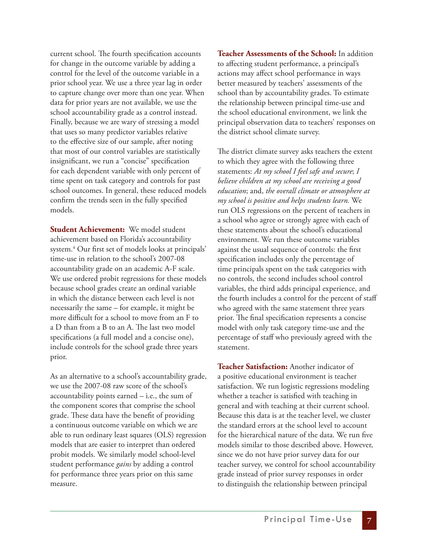current school. The fourth specification accounts for change in the outcome variable by adding a control for the level of the outcome variable in a prior school year. We use a three year lag in order to capture change over more than one year. When data for prior years are not available, we use the school accountability grade as a control instead. Finally, because we are wary of stressing a model that uses so many predictor variables relative to the effective size of our sample, after noting that most of our control variables are statistically insignificant, we run a "concise" specification for each dependent variable with only percent of time spent on task category and controls for past school outcomes. In general, these reduced models confirm the trends seen in the fully specified models.

**Student Achievement:** We model student achievement based on Florida's accountability system.4 Our first set of models looks at principals' time-use in relation to the school's 2007-08 accountability grade on an academic A-F scale. We use ordered probit regressions for these models because school grades create an ordinal variable in which the distance between each level is not necessarily the same – for example, it might be more difficult for a school to move from an F to a D than from a B to an A. The last two model specifications (a full model and a concise one), include controls for the school grade three years prior.

As an alternative to a school's accountability grade, we use the 2007-08 raw score of the school's accountability points earned – i.e., the sum of the component scores that comprise the school grade. These data have the benefit of providing a continuous outcome variable on which we are able to run ordinary least squares (OLS) regression models that are easier to interpret than ordered probit models. We similarly model school-level student performance *gains* by adding a control for performance three years prior on this same measure.

**Teacher Assessments of the School:** In addition to affecting student performance, a principal's actions may affect school performance in ways better measured by teachers' assessments of the school than by accountability grades. To estimate the relationship between principal time-use and the school educational environment, we link the principal observation data to teachers' responses on the district school climate survey.

The district climate survey asks teachers the extent to which they agree with the following three statements: *At my school I feel safe and secure*; *I believe children at my school are receiving a good education*; and, *the overall climate or atmosphere at my school is positive and helps students learn.* We run OLS regressions on the percent of teachers in a school who agree or strongly agree with each of these statements about the school's educational environment. We run these outcome variables against the usual sequence of controls: the first specification includes only the percentage of time principals spent on the task categories with no controls, the second includes school control variables, the third adds principal experience, and the fourth includes a control for the percent of staff who agreed with the same statement three years prior. The final specification represents a concise model with only task category time-use and the percentage of staff who previously agreed with the statement.

**Teacher Satisfaction:** Another indicator of a positive educational environment is teacher satisfaction. We run logistic regressions modeling whether a teacher is satisfied with teaching in general and with teaching at their current school. Because this data is at the teacher level, we cluster the standard errors at the school level to account for the hierarchical nature of the data. We run five models similar to those described above. However, since we do not have prior survey data for our teacher survey, we control for school accountability grade instead of prior survey responses in order to distinguish the relationship between principal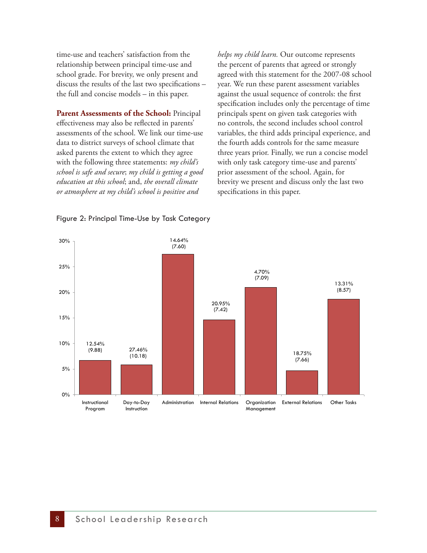time-use and teachers' satisfaction from the relationship between principal time-use and school grade. For brevity, we only present and discuss the results of the last two specifications – the full and concise models – in this paper.

**Parent Assessments of the School:** Principal effectiveness may also be reflected in parents' assessments of the school. We link our time-use data to district surveys of school climate that asked parents the extent to which they agree with the following three statements: *my child's school is safe and secure*; *my child is getting a good education at this school*; and, *the overall climate or atmosphere at my child's school is positive and* 

*helps my child learn.* Our outcome represents the percent of parents that agreed or strongly agreed with this statement for the 2007-08 school year. We run these parent assessment variables against the usual sequence of controls: the first specification includes only the percentage of time principals spent on given task categories with no controls, the second includes school control variables, the third adds principal experience, and the fourth adds controls for the same measure three years prior. Finally, we run a concise model with only task category time-use and parents' prior assessment of the school. Again, for brevity we present and discuss only the last two specifications in this paper.



Figure 2: Principal Time-Use by Task Category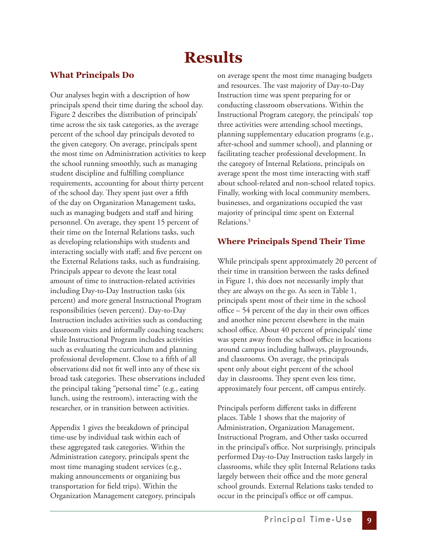### **Results**

#### **What Principals Do**

Our analyses begin with a description of how principals spend their time during the school day. Figure 2 describes the distribution of principals' time across the six task categories, as the average percent of the school day principals devoted to the given category. On average, principals spent the most time on Administration activities to keep the school running smoothly, such as managing student discipline and fulfilling compliance requirements, accounting for about thirty percent of the school day. They spent just over a fifth of the day on Organization Management tasks, such as managing budgets and staff and hiring personnel. On average, they spent 15 percent of their time on the Internal Relations tasks, such as developing relationships with students and interacting socially with staff; and five percent on the External Relations tasks, such as fundraising. Principals appear to devote the least total amount of time to instruction-related activities including Day-to-Day Instruction tasks (six percent) and more general Instructional Program responsibilities (seven percent). Day-to-Day Instruction includes activities such as conducting classroom visits and informally coaching teachers; while Instructional Program includes activities such as evaluating the curriculum and planning professional development. Close to a fifth of all observations did not fit well into any of these six broad task categories. These observations included the principal taking "personal time" (e.g., eating lunch, using the restroom), interacting with the researcher, or in transition between activities.

Appendix 1 gives the breakdown of principal time-use by individual task within each of these aggregated task categories. Within the Administration category, principals spent the most time managing student services (e.g., making announcements or organizing bus transportation for field trips). Within the Organization Management category, principals on average spent the most time managing budgets and resources. The vast majority of Day-to-Day Instruction time was spent preparing for or conducting classroom observations. Within the Instructional Program category, the principals' top three activities were attending school meetings, planning supplementary education programs (e.g., after-school and summer school), and planning or facilitating teacher professional development. In the category of Internal Relations, principals on average spent the most time interacting with staff about school-related and non-school related topics. Finally, working with local community members, businesses, and organizations occupied the vast majority of principal time spent on External Relations.5

#### **Where Principals Spend Their Time**

While principals spent approximately 20 percent of their time in transition between the tasks defined in Figure 1, this does not necessarily imply that they are always on the go. As seen in Table 1, principals spent most of their time in the school office – 54 percent of the day in their own offices and another nine percent elsewhere in the main school office. About 40 percent of principals' time was spent away from the school office in locations around campus including hallways, playgrounds, and classrooms. On average, the principals spent only about eight percent of the school day in classrooms. They spent even less time, approximately four percent, off campus entirely.

Principals perform different tasks in different places. Table 1 shows that the majority of Administration, Organization Management, Instructional Program, and Other tasks occurred in the principal's office. Not surprisingly, principals performed Day-to-Day Instruction tasks largely in classrooms, while they split Internal Relations tasks largely between their office and the more general school grounds. External Relations tasks tended to occur in the principal's office or off campus.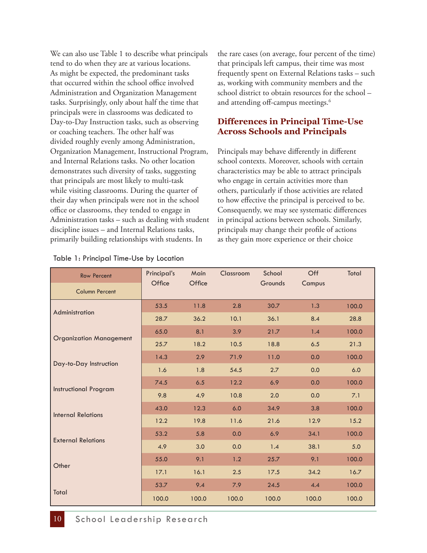We can also use Table 1 to describe what principals tend to do when they are at various locations. As might be expected, the predominant tasks that occurred within the school office involved Administration and Organization Management tasks. Surprisingly, only about half the time that principals were in classrooms was dedicated to Day-to-Day Instruction tasks, such as observing or coaching teachers. The other half was divided roughly evenly among Administration, Organization Management, Instructional Program, and Internal Relations tasks. No other location demonstrates such diversity of tasks, suggesting that principals are most likely to multi-task while visiting classrooms. During the quarter of their day when principals were not in the school office or classrooms, they tended to engage in Administration tasks – such as dealing with student discipline issues – and Internal Relations tasks, primarily building relationships with students. In

the rare cases (on average, four percent of the time) that principals left campus, their time was most frequently spent on External Relations tasks – such as, working with community members and the school district to obtain resources for the school – and attending off-campus meetings.<sup>6</sup>

#### **Differences in Principal Time-Use Across Schools and Principals**

Principals may behave differently in different school contexts. Moreover, schools with certain characteristics may be able to attract principals who engage in certain activities more than others, particularly if those activities are related to how effective the principal is perceived to be. Consequently, we may see systematic differences in principal actions between schools. Similarly, principals may change their profile of actions as they gain more experience or their choice

| <b>Row Percent</b>             | Principal's | Main   | Classroom | School  | Off    | Total |
|--------------------------------|-------------|--------|-----------|---------|--------|-------|
| <b>Column Percent</b>          | Office      | Office |           | Grounds | Campus |       |
| Administration                 | 53.5        | 11.8   | 2.8       | 30.7    | 1.3    | 100.0 |
|                                | 28.7        | 36.2   | 10.1      | 36.1    | 8.4    | 28.8  |
|                                | 65.0        | 8.1    | 3.9       | 21.7    | 1.4    | 100.0 |
| <b>Organization Management</b> | 25.7        | 18.2   | 10.5      | 18.8    | 6.5    | 21.3  |
| Day-to-Day Instruction         | 14.3        | 2.9    | 71.9      | 11.0    | 0.0    | 100.0 |
|                                | 1.6         | 1.8    | 54.5      | 2.7     | 0.0    | 6.0   |
|                                | 74.5        | 6.5    | 12.2      | 6.9     | 0.0    | 100.0 |
| <b>Instructional Program</b>   | 9.8         | 4.9    | 10.8      | 2.0     | 0.0    | 7.1   |
|                                | 43.0        | 12.3   | 6.0       | 34.9    | 3.8    | 100.0 |
| <b>Internal Relations</b>      | 12.2        | 19.8   | 11.6      | 21.6    | 12.9   | 15.2  |
| <b>External Relations</b>      | 53.2        | 5.8    | 0.0       | 6.9     | 34.1   | 100.0 |
|                                | 4.9         | 3.0    | 0.0       | 1.4     | 38.1   | 5.0   |
|                                | 55.0        | 9.1    | 1.2       | 25.7    | 9.1    | 100.0 |
| Other                          | 17.1        | 16.1   | 2.5       | 17.5    | 34.2   | 16.7  |
|                                | 53.7        | 9.4    | 7.9       | 24.5    | 4.4    | 100.0 |
| Total                          | 100.0       | 100.0  | 100.0     | 100.0   | 100.0  | 100.0 |

Table 1: Principal Time-Use by Location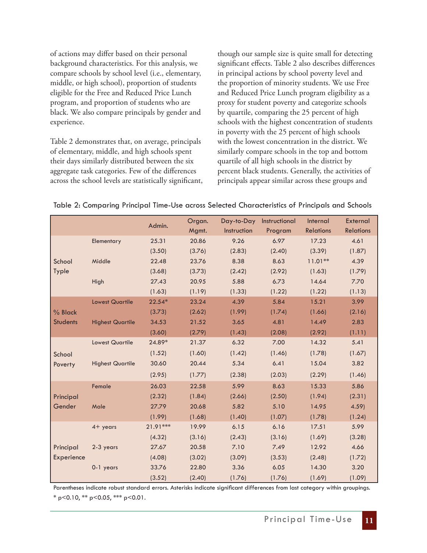of actions may differ based on their personal background characteristics. For this analysis, we compare schools by school level (i.e., elementary, middle, or high school), proportion of students eligible for the Free and Reduced Price Lunch program, and proportion of students who are black. We also compare principals by gender and experience.

Table 2 demonstrates that, on average, principals of elementary, middle, and high schools spent their days similarly distributed between the six aggregate task categories. Few of the differences across the school levels are statistically significant, though our sample size is quite small for detecting significant effects. Table 2 also describes differences in principal actions by school poverty level and the proportion of minority students. We use Free and Reduced Price Lunch program eligibility as a proxy for student poverty and categorize schools by quartile, comparing the 25 percent of high schools with the highest concentration of students in poverty with the 25 percent of high schools with the lowest concentration in the district. We similarly compare schools in the top and bottom quartile of all high schools in the district by percent black students. Generally, the activities of principals appear similar across these groups and

|                 |                         | Admin.   | Organ. | Day-to-Day  | Instructional | Internal         | External         |
|-----------------|-------------------------|----------|--------|-------------|---------------|------------------|------------------|
|                 |                         |          | Mgmt.  | Instruction | Program       | <b>Relations</b> | <b>Relations</b> |
|                 | Elementary              | 25.31    | 20.86  | 9.26        | 6.97          | 17.23            | 4.61             |
|                 |                         | (3.50)   | (3.76) | (2.83)      | (2.40)        | (3.39)           | (1.87)           |
| School          | Middle                  | 22.48    | 23.76  | 8.38        | 8.63          | $11.01**$        | 4.39             |
| Typle           |                         | (3.68)   | (3.73) | (2.42)      | (2.92)        | (1.63)           | (1.79)           |
|                 | High                    | 27.43    | 20.95  | 5.88        | 6.73          | 14.64            | 7.70             |
|                 |                         | (1.63)   | (1.19) | (1.33)      | (1.22)        | (1.22)           | (1.13)           |
|                 | <b>Lowest Quartile</b>  | 22.54*   | 23.24  | 4.39        | 5.84          | 15.21            | 3.99             |
| % Black         |                         | (3.73)   | (2.62) | (1.99)      | (1.74)        | (1.66)           | (2.16)           |
| <b>Students</b> | <b>Highest Quartile</b> | 34.53    | 21.52  | 3.65        | 4.81          | 14.49            | 2.83             |
|                 |                         | (3.60)   | (2.79) | (1.43)      | (2.08)        | (2.92)           | (1.11)           |
|                 | <b>Lowest Quartile</b>  | 24.89*   | 21.37  | 6.32        | 7.00          | 14.32            | 5.41             |
| School          |                         | (1.52)   | (1.60) | (1.42)      | (1.46)        | (1.78)           | (1.67)           |
| Poverty         | <b>Highest Quartile</b> | 30.60    | 20.44  | 5.34        | 6.41          | 15.04            | 3.82             |
|                 |                         | (2.95)   | (1.77) | (2.38)      | (2.03)        | (2.29)           | (1.46)           |
|                 | Female                  | 26.03    | 22.58  | 5.99        | 8.63          | 15.33            | 5.86             |
| Principal       |                         | (2.32)   | (1.84) | (2.66)      | (2.50)        | (1.94)           | (2.31)           |
| Gender          | Male                    | 27.79    | 20.68  | 5.82        | 5.10          | 14.95            | 4.59             |
|                 |                         | (1.99)   | (1.68) | (1.40)      | (1.07)        | (1.78)           | (1.24)           |
|                 | $4+$ years              | 21.91*** | 19.99  | 6.15        | 6.16          | 17.51            | 5.99             |
|                 |                         | (4.32)   | (3.16) | (2.43)      | (3.16)        | (1.69)           | (3.28)           |
| Principal       | 2-3 years               | 27.67    | 20.58  | 7.10        | 7.49          | 12.92            | 4.66             |
| Experience      |                         | (4.08)   | (3.02) | (3.09)      | (3.53)        | (2.48)           | (1.72)           |
|                 | 0-1 years               | 33.76    | 22.80  | 3.36        | 6.05          | 14.30            | 3.20             |
|                 |                         | (3.52)   | (2.40) | (1.76)      | (1.76)        | (1.69)           | (1.09)           |

Parentheses indicate robust standard errors. Asterisks indicate significant differences from last category within groupings.  $*$  p<0.10,  $*$  p < 0.05,  $**$  p < 0.01.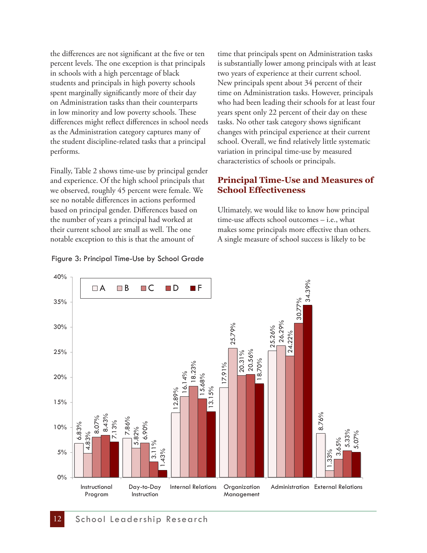the differences are not significant at the five or ten percent levels. The one exception is that principals in schools with a high percentage of black students and principals in high poverty schools spent marginally significantly more of their day on Administration tasks than their counterparts in low minority and low poverty schools. These differences might reflect differences in school needs as the Administration category captures many of the student discipline-related tasks that a principal performs.

Finally, Table 2 shows time-use by principal gender and experience. Of the high school principals that we observed, roughly 45 percent were female. We see no notable differences in actions performed based on principal gender. Differences based on the number of years a principal had worked at their current school are small as well. The one notable exception to this is that the amount of



time that principals spent on Administration tasks is substantially lower among principals with at least two years of experience at their current school. New principals spent about 34 percent of their time on Administration tasks. However, principals who had been leading their schools for at least four years spent only 22 percent of their day on these tasks. No other task category shows significant changes with principal experience at their current school. Overall, we find relatively little systematic variation in principal time-use by measured characteristics of schools or principals.

#### **Principal Time-Use and Measures of School Effectiveness**

Ultimately, we would like to know how principal time-use affects school outcomes – i.e., what makes some principals more effective than others. A single measure of school success is likely to be

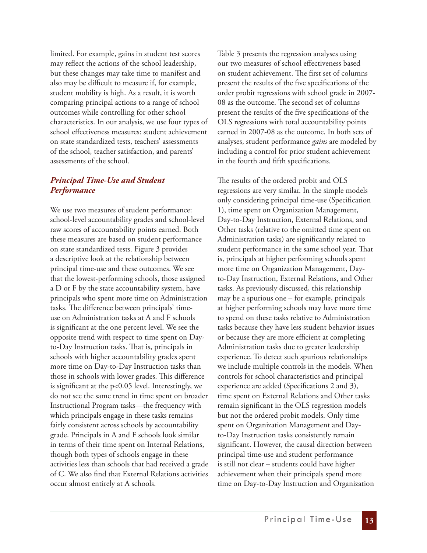limited. For example, gains in student test scores may reflect the actions of the school leadership, but these changes may take time to manifest and also may be difficult to measure if, for example, student mobility is high. As a result, it is worth comparing principal actions to a range of school outcomes while controlling for other school characteristics. In our analysis, we use four types of school effectiveness measures: student achievement on state standardized tests, teachers' assessments of the school, teacher satisfaction, and parents' assessments of the school.

#### *Principal Time-Use and Student Performance*

We use two measures of student performance: school-level accountability grades and school-level raw scores of accountability points earned. Both these measures are based on student performance on state standardized tests. Figure 3 provides a descriptive look at the relationship between principal time-use and these outcomes. We see that the lowest-performing schools, those assigned a D or F by the state accountability system, have principals who spent more time on Administration tasks. The difference between principals' timeuse on Administration tasks at A and F schools is significant at the one percent level. We see the opposite trend with respect to time spent on Dayto-Day Instruction tasks. That is, principals in schools with higher accountability grades spent more time on Day-to-Day Instruction tasks than those in schools with lower grades. This difference is significant at the p<0.05 level. Interestingly, we do not see the same trend in time spent on broader Instructional Program tasks—the frequency with which principals engage in these tasks remains fairly consistent across schools by accountability grade. Principals in A and F schools look similar in terms of their time spent on Internal Relations, though both types of schools engage in these activities less than schools that had received a grade of C. We also find that External Relations activities occur almost entirely at A schools.

Table 3 presents the regression analyses using our two measures of school effectiveness based on student achievement. The first set of columns present the results of the five specifications of the order probit regressions with school grade in 2007- 08 as the outcome. The second set of columns present the results of the five specifications of the OLS regressions with total accountability points earned in 2007-08 as the outcome. In both sets of analyses, student performance *gains* are modeled by including a control for prior student achievement in the fourth and fifth specifications.

The results of the ordered probit and OLS regressions are very similar. In the simple models only considering principal time-use (Specification 1), time spent on Organization Management, Day-to-Day Instruction, External Relations, and Other tasks (relative to the omitted time spent on Administration tasks) are significantly related to student performance in the same school year. That is, principals at higher performing schools spent more time on Organization Management, Dayto-Day Instruction, External Relations, and Other tasks. As previously discussed, this relationship may be a spurious one – for example, principals at higher performing schools may have more time to spend on these tasks relative to Administration tasks because they have less student behavior issues or because they are more efficient at completing Administration tasks due to greater leadership experience. To detect such spurious relationships we include multiple controls in the models. When controls for school characteristics and principal experience are added (Specifications 2 and 3), time spent on External Relations and Other tasks remain significant in the OLS regression models but not the ordered probit models. Only time spent on Organization Management and Dayto-Day Instruction tasks consistently remain significant. However, the causal direction between principal time-use and student performance is still not clear – students could have higher achievement when their principals spend more time on Day-to-Day Instruction and Organization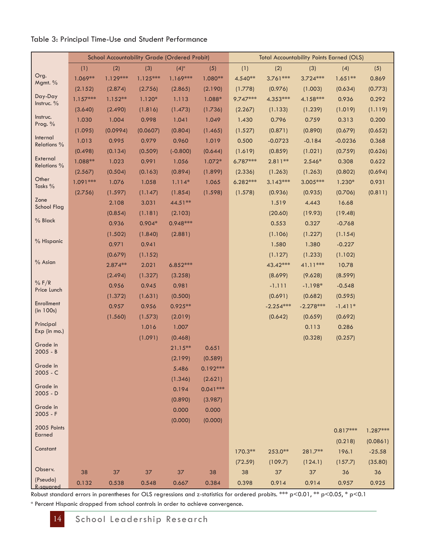|                                |            |            | <b>School Accountability Grade (Ordered Probit)</b> |             |            | <b>Total Accountability Points Earned (OLS)</b> |             |             |            |          |
|--------------------------------|------------|------------|-----------------------------------------------------|-------------|------------|-------------------------------------------------|-------------|-------------|------------|----------|
|                                | (1)        | (2)        | (3)                                                 | $(4)^\circ$ | (5)        | (1)                                             | (2)         | (3)         | (4)        | (5)      |
| Org.                           | $1.069**$  | $1.129***$ | $1.125***$                                          | $1.169***$  | $1.080**$  | 4.540**                                         | $3.761***$  | $3.724***$  | $1.651**$  | 0.869    |
| Mgmt. %                        | (2.152)    | (2.874)    | (2.756)                                             | (2.865)     | (2.190)    | (1.778)                                         | (0.976)     | (1.003)     | (0.634)    | (0.773)  |
| Day-Day                        | $1.157***$ | $1.152**$  | $1.120*$                                            | 1.113       | 1.088*     | 9.747***                                        | 4.353***    | 4.158***    | 0.936      | 0.292    |
| Instruc. $%$                   | (3.640)    | (2.490)    | (1.816)                                             | (1.473)     | (1.736)    | (2.267)                                         | (1.133)     | (1.239)     | (1.019)    | (1.119)  |
| Instruc.                       | 1.030      | 1.004      | 0.998                                               | 1.041       | 1.049      | 1.430                                           | 0.796       | 0.759       | 0.313      | 0.200    |
| Prog. %                        | (1.095)    | (0.0994)   | (0.0607)                                            | (0.804)     | (1.465)    | (1.527)                                         | (0.871)     | (0.890)     | (0.679)    | (0.652)  |
| Internal                       | 1.013      | 0.995      | 0.979                                               | 0.960       | 1.019      | 0.500                                           | $-0.0723$   | $-0.184$    | $-0.0236$  | 0.368    |
| Relations %                    | (0.498)    | (0.134)    | (0.509)                                             | $(-0.800)$  | (0.644)    | (1.619)                                         | (0.859)     | (1.021)     | (0.759)    | (0.626)  |
| External<br><b>Relations %</b> | 1.088**    | 1.023      | 0.991                                               | 1.056       | $1.072*$   | 6.787***                                        | $2.811**$   | $2.546*$    | 0.308      | 0.622    |
|                                | (2.567)    | (0.504)    | (0.163)                                             | (0.894)     | (1.899)    | (2.336)                                         | (1.263)     | (1.263)     | (0.802)    | (0.694)  |
| Other<br>Tasks %               | $1.091***$ | 1.076      | 1.058                                               | $1.114*$    | 1.065      | $6.282***$                                      | $3.143***$  | $3.005***$  | $1.230*$   | 0.931    |
|                                | (2.756)    | (1.597)    | (1.147)                                             | (1.854)     | (1.598)    | (1.578)                                         | (0.936)     | (0.935)     | (0.706)    | (0.811)  |
| Zone<br><b>School Flag</b>     |            | 2.108      | 3.031                                               | $44.51**$   |            |                                                 | 1.519       | 4.443       | 16.68      |          |
|                                |            | (0.854)    | (1.181)                                             | (2.103)     |            |                                                 | (20.60)     | (19.93)     | (19.48)    |          |
| % Black                        |            | 0.936      | $0.904*$                                            | $0.948***$  |            |                                                 | 0.553       | 0.327       | $-0.768$   |          |
|                                |            | (1.502)    | (1.840)                                             | (2.881)     |            |                                                 | (1.106)     | (1.227)     | (1.154)    |          |
| % Hispanic                     |            | 0.971      | 0.941                                               |             |            |                                                 | 1.580       | 1.380       | $-0.227$   |          |
|                                |            | (0.679)    | (1.152)                                             |             |            |                                                 | (1.127)     | (1.233)     | (1.102)    |          |
| % Asian                        |            | $2.874**$  | 2.021                                               | 6.852***    |            |                                                 | 43.42***    | 41.11***    | 10.78      |          |
|                                |            | (2.494)    | (1.327)                                             | (3.258)     |            |                                                 | (8.699)     | (9.628)     | (8.599)    |          |
| % F/R<br>Price Lunch           |            | 0.956      | 0.945                                               | 0.981       |            |                                                 | $-1.111$    | $-1.198*$   | $-0.548$   |          |
|                                |            | (1.372)    | (1.631)                                             | (0.500)     |            |                                                 | (0.691)     | (0.682)     | (0.595)    |          |
| Enrollment<br>(in 100s)        |            | 0.957      | 0.956                                               | $0.925**$   |            |                                                 | $-2.254***$ | $-2.278***$ | $-1.411*$  |          |
|                                |            | (1.560)    | (1.573)                                             | (2.019)     |            |                                                 | (0.642)     | (0.659)     | (0.692)    |          |
| Principal<br>Exp (in mo.)      |            |            | 1.016                                               | 1.007       |            |                                                 |             | 0.113       | 0.286      |          |
|                                |            |            | (1.091)                                             | (0.468)     |            |                                                 |             | (0.328)     | (0.257)    |          |
| Grade in<br>$2005 - B$         |            |            |                                                     | $21.15**$   | 0.651      |                                                 |             |             |            |          |
|                                |            |            |                                                     | (2.199)     | (0.589)    |                                                 |             |             |            |          |
| Grade in<br>$2005 - C$         |            |            |                                                     | 5.486       | $0.192***$ |                                                 |             |             |            |          |
|                                |            |            |                                                     | (1.346)     | (2.621)    |                                                 |             |             |            |          |
| Grade in<br>$2005 - D$         |            |            |                                                     | 0.194       | $0.041***$ |                                                 |             |             |            |          |
| Grade in                       |            |            |                                                     | (0.890)     | (3.987)    |                                                 |             |             |            |          |
| 2005 - F                       |            |            |                                                     | 0.000       | 0.000      |                                                 |             |             |            |          |
| 2005 Points                    |            |            |                                                     | (0.000)     | (0.000)    |                                                 |             |             |            |          |
| Earned                         |            |            |                                                     |             |            |                                                 |             |             | $0.817***$ | 1.287*** |
|                                |            |            |                                                     |             |            |                                                 |             |             | (0.218)    | (0.0861) |
| Constant                       |            |            |                                                     |             |            | 170.3**                                         | 253.0**     | 281.7**     | 196.1      | $-25.58$ |
|                                |            |            |                                                     |             |            | (72.59)                                         | (109.7)     | (124.1)     | (157.7)    | (35.80)  |
| Observ.<br>(Pseudo)            | 38         | 37         | $37\,$                                              | 37          | 38         | 38                                              | $37\,$      | 37          | 36         | 36       |
| R-squared                      | 0.132      | 0.538      | 0.548                                               | 0.667       | 0.384      | 0.398                                           | 0.914       | 0.914       | 0.957      | 0.925    |

#### Table 3: Principal Time-Use and Student Performance

Robust standard errors in parentheses for OLS regressions and z-statistics for ordered probits.  $***$  p<0.01,  $**$  p<0.05,  $*$  p<0.1 <sup>a</sup> Percent Hispanic dropped from school controls in order to achieve convergence.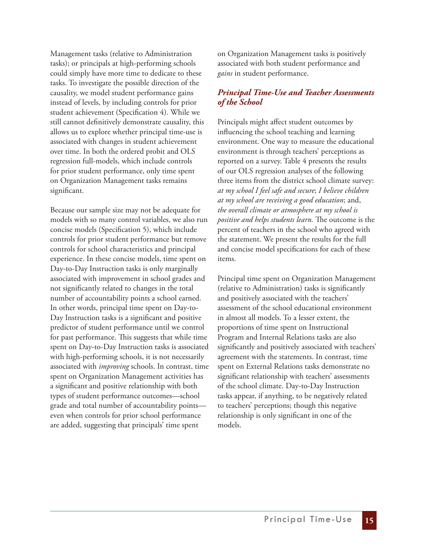Management tasks (relative to Administration tasks); or principals at high-performing schools could simply have more time to dedicate to these tasks. To investigate the possible direction of the causality, we model student performance gains instead of levels, by including controls for prior student achievement (Specification 4). While we still cannot definitively demonstrate causality, this allows us to explore whether principal time-use is associated with changes in student achievement over time. In both the ordered probit and OLS regression full-models, which include controls for prior student performance, only time spent on Organization Management tasks remains significant.

Because our sample size may not be adequate for models with so many control variables, we also run concise models (Specification 5), which include controls for prior student performance but remove controls for school characteristics and principal experience. In these concise models, time spent on Day-to-Day Instruction tasks is only marginally associated with improvement in school grades and not significantly related to changes in the total number of accountability points a school earned. In other words, principal time spent on Day-to-Day Instruction tasks is a significant and positive predictor of student performance until we control for past performance. This suggests that while time spent on Day-to-Day Instruction tasks is associated with high-performing schools, it is not necessarily associated with *improving* schools. In contrast, time spent on Organization Management activities has a significant and positive relationship with both types of student performance outcomes—school grade and total number of accountability points even when controls for prior school performance are added, suggesting that principals' time spent

on Organization Management tasks is positively associated with both student performance and *gains* in student performance.

#### *Principal Time-Use and Teacher Assessments of the School*

Principals might affect student outcomes by influencing the school teaching and learning environment. One way to measure the educational environment is through teachers' perceptions as reported on a survey. Table 4 presents the results of our OLS regression analyses of the following three items from the district school climate survey: *at my school I feel safe and secure*; *I believe children at my school are receiving a good education*; and, *the overall climate or atmosphere at my school is positive and helps students learn.* The outcome is the percent of teachers in the school who agreed with the statement. We present the results for the full and concise model specifications for each of these items.

Principal time spent on Organization Management (relative to Administration) tasks is significantly and positively associated with the teachers' assessment of the school educational environment in almost all models. To a lesser extent, the proportions of time spent on Instructional Program and Internal Relations tasks are also significantly and positively associated with teachers' agreement with the statements. In contrast, time spent on External Relations tasks demonstrate no significant relationship with teachers' assessments of the school climate. Day-to-Day Instruction tasks appear, if anything, to be negatively related to teachers' perceptions; though this negative relationship is only significant in one of the models.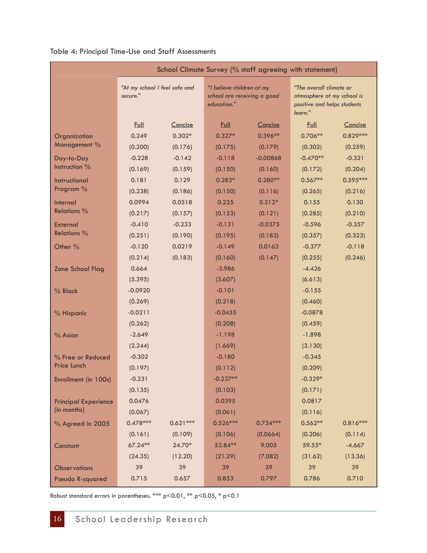|                             |                                           |            | School Climate Survey (% staff agreeing with statement)                 |            |                                                                                                 |            |  |  |  |  |
|-----------------------------|-------------------------------------------|------------|-------------------------------------------------------------------------|------------|-------------------------------------------------------------------------------------------------|------------|--|--|--|--|
|                             | "At my school I feel safe and<br>secure." |            | "I believe children at my<br>school are receiving a good<br>education." |            | "The overall climate or<br>atmosphere at my school is<br>positive and helps students<br>learn." |            |  |  |  |  |
|                             | <b>Full</b>                               | Concise    | <b>Full</b>                                                             | Concise    | <b>Full</b>                                                                                     | Concise    |  |  |  |  |
| Organization                | 0.249                                     | $0.302*$   | $0.327*$                                                                | $0.396**$  | $0.706**$                                                                                       | 0.829 ***  |  |  |  |  |
| Management %                | (0.200)                                   | (0.176)    | (0.175)                                                                 | (0.179)    | (0.302)                                                                                         | (0.259)    |  |  |  |  |
| Day-to-Day                  | $-0.228$                                  | $-0.142$   | $-0.118$                                                                | $-0.00868$ | $-0.470**$                                                                                      | $-0.321$   |  |  |  |  |
| Instruction %               | (0.169)                                   | (0.159)    | (0.150)                                                                 | (0.160)    | (0.172)                                                                                         | (0.204)    |  |  |  |  |
| Instructional               | 0.181                                     | 0.129      | $0.283*$                                                                | $0.280**$  | $0.567**$                                                                                       | $0.595***$ |  |  |  |  |
| Program %                   | (0.238)                                   | (0.186)    | (0.150)                                                                 | (0.116)    | (0.265)                                                                                         | (0.216)    |  |  |  |  |
| Internal                    | 0.0994                                    | 0.0518     | 0.225                                                                   | $0.212*$   | 0.155                                                                                           | 0.130      |  |  |  |  |
| <b>Relations %</b>          | (0.217)                                   | (0.157)    | (0.153)                                                                 | (0.121)    | (0.285)                                                                                         | (0.210)    |  |  |  |  |
| <b>External</b>             | $-0.410$                                  | $-0.233$   | $-0.131$                                                                | $-0.0375$  | $-0.596$                                                                                        | $-0.357$   |  |  |  |  |
| <b>Relations %</b>          | (0.251)                                   | (0.190)    | (0.195)                                                                 | (0.183)    | (0.357)                                                                                         | (0.323)    |  |  |  |  |
| Other %                     | $-0.120$                                  | 0.0219     | $-0.149$                                                                | 0.0163     | $-0.377$                                                                                        | $-0.118$   |  |  |  |  |
|                             | (0.214)                                   | (0.183)    | (0.160)                                                                 | (0.147)    | (0.255)                                                                                         | (0.246)    |  |  |  |  |
| <b>Zone School Flag</b>     | 0.664                                     |            | $-3.986$                                                                |            | $-4.426$                                                                                        |            |  |  |  |  |
|                             | (5.395)                                   |            | (3.607)                                                                 |            | (6.613)                                                                                         |            |  |  |  |  |
| % Black                     | $-0.0920$                                 |            | $-0.101$                                                                |            | $-0.155$                                                                                        |            |  |  |  |  |
|                             | (0.269)                                   |            | (0.218)                                                                 |            | (0.460)                                                                                         |            |  |  |  |  |
| % Hispanic                  | $-0.0211$                                 |            | $-0.0455$                                                               |            | $-0.0878$                                                                                       |            |  |  |  |  |
|                             | (0.262)                                   |            | (0.208)                                                                 |            | (0.459)                                                                                         |            |  |  |  |  |
| $%$ Asian                   | $-2.649$                                  |            | $-1.198$                                                                |            | $-1.898$                                                                                        |            |  |  |  |  |
|                             | (2.244)                                   |            | (1.669)                                                                 |            | (3.130)                                                                                         |            |  |  |  |  |
| % Free or Reduced           | $-0.302$                                  |            | $-0.180$                                                                |            | $-0.345$                                                                                        |            |  |  |  |  |
| Price Lunch                 | (0.197)                                   |            | (0.112)                                                                 |            | (0.209)                                                                                         |            |  |  |  |  |
| Enrollment (in 100s)        | $-0.231$                                  |            | $-0.237**$                                                              |            | $-0.329*$                                                                                       |            |  |  |  |  |
|                             | (0.135)                                   |            | (0.103)                                                                 |            | (0.171)                                                                                         |            |  |  |  |  |
| <b>Principal Experience</b> | 0.0476                                    |            | 0.0395                                                                  |            | 0.0817                                                                                          |            |  |  |  |  |
| (in months)                 | (0.067)                                   |            | (0.061)                                                                 |            | (0.116)                                                                                         |            |  |  |  |  |
| % Agreed in 2005            | $0.478***$                                | $0.621***$ | $0.526***$                                                              | $0.734***$ | $0.562**$                                                                                       | $0.816***$ |  |  |  |  |
|                             | (0.161)                                   | (0.109)    | (0.106)                                                                 | (0.0664)   | (0.206)                                                                                         | (0.114)    |  |  |  |  |
| Constant                    | $67.24**$                                 | 24.70*     | 52.84**                                                                 | 9.005      | 59.55*                                                                                          | $-4.667$   |  |  |  |  |
|                             | (24.35)                                   | (12.20)    | (21.29)                                                                 | (7.082)    | (31.62)                                                                                         | (13.36)    |  |  |  |  |
| <b>Observations</b>         | 39                                        | 39         | 39                                                                      | 39         | 39                                                                                              | 39         |  |  |  |  |
| Pseudo R-squared            | 0.715                                     | 0.657      | 0.853                                                                   | 0.797      | 0.786                                                                                           | 0.710      |  |  |  |  |

#### Table 4: Principal Time-Use and Staff Assessments

Robust standard errors in parentheses. \*\*\*  $p$  < 0.01, \*\*  $p$  < 0.05, \*  $p$  < 0.1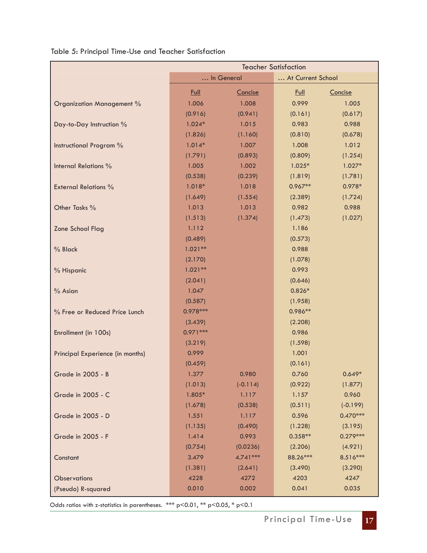|                                  | <b>Teacher Satisfaction</b> |            |                   |            |  |  |  |  |
|----------------------------------|-----------------------------|------------|-------------------|------------|--|--|--|--|
|                                  |                             | In General | At Current School |            |  |  |  |  |
|                                  | <b>Full</b>                 | Concise    | <b>Full</b>       | Concise    |  |  |  |  |
| Organization Management %        | 1.006                       | 1.008      | 0.999             | 1.005      |  |  |  |  |
|                                  | (0.916)                     | (0.941)    | (0.161)           | (0.617)    |  |  |  |  |
| Day-to-Day Instruction %         | $1.024*$                    | 1.015      | 0.983             | 0.988      |  |  |  |  |
|                                  | (1.826)                     | (1.160)    | (0.810)           | (0.678)    |  |  |  |  |
| Instructional Program %          | $1.014*$                    | 1.007      | 1.008             | 1.012      |  |  |  |  |
|                                  | (1.791)                     | (0.893)    | (0.809)           | (1.254)    |  |  |  |  |
| Internal Relations %             | 1.005                       | 1.002      | $1.025*$          | $1.027*$   |  |  |  |  |
|                                  | (0.538)                     | (0.239)    | (1.819)           | (1.781)    |  |  |  |  |
| <b>External Relations %</b>      | $1.018*$                    | 1.018      | $0.967**$         | $0.978*$   |  |  |  |  |
|                                  | (1.649)                     | (1.554)    | (2.389)           | (1.724)    |  |  |  |  |
| Other Tasks %                    | 1.013                       | 1.013      | 0.982             | 0.988      |  |  |  |  |
|                                  | (1.513)                     | (1.374)    | (1.473)           | (1.027)    |  |  |  |  |
| Zone School Flag                 | 1.112                       |            | 1.186             |            |  |  |  |  |
|                                  | (0.489)                     |            | (0.573)           |            |  |  |  |  |
| % Black                          | $1.021**$                   |            | 0.988             |            |  |  |  |  |
|                                  | (2.170)                     |            | (1.078)           |            |  |  |  |  |
| % Hispanic                       | $1.021**$                   |            | 0.993             |            |  |  |  |  |
|                                  | (2.041)                     |            | (0.646)           |            |  |  |  |  |
| $%$ Asian                        | 1.047                       |            | $0.826*$          |            |  |  |  |  |
|                                  | (0.587)                     |            | (1.958)           |            |  |  |  |  |
| % Free or Reduced Price Lunch    | 0.978 ***                   |            | 0.986**           |            |  |  |  |  |
|                                  | (3.439)                     |            | (2.208)           |            |  |  |  |  |
| Enrollment (in 100s)             | $0.971***$                  |            | 0.986             |            |  |  |  |  |
|                                  | (3.219)                     |            | (1.598)           |            |  |  |  |  |
| Principal Experience (in months) | 0.999                       |            | 1.001             |            |  |  |  |  |
|                                  | (0.459)                     |            | (0.161)           |            |  |  |  |  |
| Grade in 2005 - B                | 1.377                       | 0.980      | 0.760             | $0.649*$   |  |  |  |  |
|                                  | (1.013)                     | $(-0.114)$ | (0.922)           | (1.877)    |  |  |  |  |
| Grade in 2005 - C                | $1.805*$                    | 1.117      | 1.157             | 0.960      |  |  |  |  |
|                                  | (1.678)                     | (0.538)    | (0.511)           | $(-0.199)$ |  |  |  |  |
| Grade in 2005 - D                | 1.551                       | 1.117      | 0.596             | $0.470***$ |  |  |  |  |
|                                  | (1.135)                     | (0.490)    | (1.228)           | (3.195)    |  |  |  |  |
| Grade in 2005 - F                | 1.414                       | 0.993      | $0.358**$         | $0.279***$ |  |  |  |  |
|                                  | (0.754)                     | (0.0236)   | (2.206)           | (4.921)    |  |  |  |  |
| Constant                         | 3.479                       | 4.741 ***  | 88.26 ***         | 8.516***   |  |  |  |  |
|                                  | (1.381)                     | (2.641)    | (3.490)           | (3.290)    |  |  |  |  |
| Observations                     | 4228                        | 4272       | 4203              | 4247       |  |  |  |  |
| (Pseudo) R-squared               | 0.010                       | 0.002      | 0.041             | 0.035      |  |  |  |  |

#### Table 5: Principal Time-Use and Teacher Satisfaction

Odds ratios with z-statistics in parentheses. \*\*\* p<0.01, \*\* p<0.05, \* p<0.1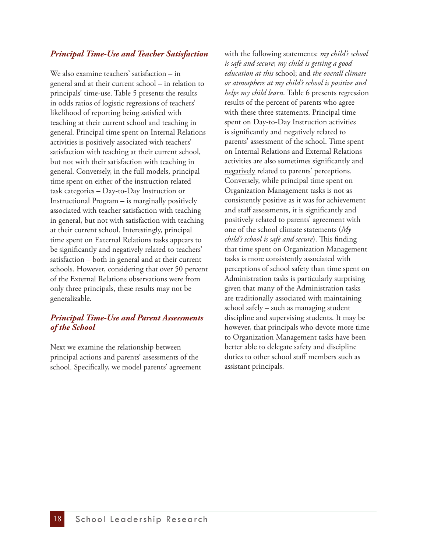#### *Principal Time-Use and Teacher Satisfaction*

We also examine teachers' satisfaction – in general and at their current school – in relation to principals' time-use. Table 5 presents the results in odds ratios of logistic regressions of teachers' likelihood of reporting being satisfied with teaching at their current school and teaching in general. Principal time spent on Internal Relations activities is positively associated with teachers' satisfaction with teaching at their current school, but not with their satisfaction with teaching in general. Conversely, in the full models, principal time spent on either of the instruction related task categories – Day-to-Day Instruction or Instructional Program – is marginally positively associated with teacher satisfaction with teaching in general, but not with satisfaction with teaching at their current school. Interestingly, principal time spent on External Relations tasks appears to be significantly and negatively related to teachers' satisfaction – both in general and at their current schools. However, considering that over 50 percent of the External Relations observations were from only three principals, these results may not be generalizable.

#### *Principal Time-Use and Parent Assessments of the School*

Next we examine the relationship between principal actions and parents' assessments of the school. Specifically, we model parents' agreement with the following statements: *my child's school is safe and secure*; *my child is getting a good education at this* school; and *the overall climate or atmosphere at my child's school is positive and helps my child learn.* Table 6 presents regression results of the percent of parents who agree with these three statements. Principal time spent on Day-to-Day Instruction activities is significantly and negatively related to parents' assessment of the school. Time spent on Internal Relations and External Relations activities are also sometimes significantly and negatively related to parents' perceptions. Conversely, while principal time spent on Organization Management tasks is not as consistently positive as it was for achievement and staff assessments, it is significantly and positively related to parents' agreement with one of the school climate statements (*My child's school is safe and secure*). This finding that time spent on Organization Management tasks is more consistently associated with perceptions of school safety than time spent on Administration tasks is particularly surprising given that many of the Administration tasks are traditionally associated with maintaining school safely – such as managing student discipline and supervising students. It may be however, that principals who devote more time to Organization Management tasks have been better able to delegate safety and discipline duties to other school staff members such as assistant principals.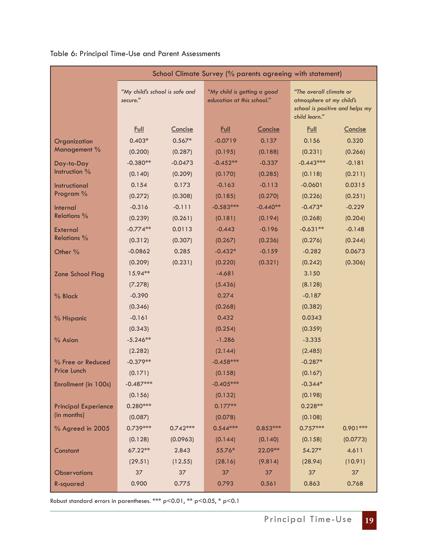|                             | School Climate Survey (% parents agreeing with statement) |            |                                                           |            |                                                                                                         |            |  |  |
|-----------------------------|-----------------------------------------------------------|------------|-----------------------------------------------------------|------------|---------------------------------------------------------------------------------------------------------|------------|--|--|
|                             | "My child's school is safe and<br>secure."                |            | "My child is getting a good<br>education at this school." |            | "The overall climate or<br>atmosphere at my child's<br>school is positive and helps my<br>child learn." |            |  |  |
|                             | <b>Full</b>                                               | Concise    | <b>Full</b>                                               | Concise    | <b>Full</b>                                                                                             | Concise    |  |  |
| Organization                | $0.403*$                                                  | $0.567*$   | $-0.0719$                                                 | 0.137      | 0.156                                                                                                   | 0.320      |  |  |
| Management %                | (0.200)                                                   | (0.287)    | (0.195)                                                   | (0.188)    | (0.231)                                                                                                 | (0.266)    |  |  |
| Day-to-Day                  | $-0.380**$                                                | $-0.0473$  | $-0.452**$                                                | $-0.337$   | $-0.443***$                                                                                             | $-0.181$   |  |  |
| Instruction %               | (0.140)                                                   | (0.209)    | (0.170)                                                   | (0.285)    | (0.118)                                                                                                 | (0.211)    |  |  |
| Instructional               | 0.154                                                     | 0.173      | $-0.163$                                                  | $-0.113$   | $-0.0601$                                                                                               | 0.0315     |  |  |
| Program %                   | (0.272)                                                   | (0.308)    | (0.185)                                                   | (0.270)    | (0.226)                                                                                                 | (0.251)    |  |  |
| Internal                    | $-0.316$                                                  | $-0.111$   | $-0.583***$                                               | $-0.440**$ | $-0.473*$                                                                                               | $-0.229$   |  |  |
| <b>Relations %</b>          | (0.239)                                                   | (0.261)    | (0.181)                                                   | (0.194)    | (0.268)                                                                                                 | (0.204)    |  |  |
| <b>External</b>             | $-0.774**$                                                | 0.0113     | $-0.443$                                                  | $-0.196$   | $-0.631**$                                                                                              | $-0.148$   |  |  |
| <b>Relations %</b>          | (0.312)                                                   | (0.307)    | (0.267)                                                   | (0.236)    | (0.276)                                                                                                 | (0.244)    |  |  |
| Other %                     | $-0.0862$                                                 | 0.285      | $-0.432*$                                                 | $-0.159$   | $-0.282$                                                                                                | 0.0673     |  |  |
|                             | (0.209)                                                   | (0.231)    | (0.220)                                                   | (0.321)    | (0.242)                                                                                                 | (0.306)    |  |  |
| <b>Zone School Flag</b>     | $15.94**$                                                 |            | $-4.681$                                                  |            | 3.150                                                                                                   |            |  |  |
|                             | (7.278)                                                   |            | (5.436)                                                   |            | (8.128)                                                                                                 |            |  |  |
| % Black                     | $-0.390$                                                  |            | 0.274                                                     |            | $-0.187$                                                                                                |            |  |  |
|                             | (0.346)                                                   |            | (0.268)                                                   |            | (0.382)                                                                                                 |            |  |  |
| % Hispanic                  | $-0.161$                                                  |            | 0.432                                                     |            | 0.0343                                                                                                  |            |  |  |
|                             | (0.343)                                                   |            | (0.254)                                                   |            | (0.359)                                                                                                 |            |  |  |
| $%$ Asian                   | $-5.246**$                                                |            | $-1.286$                                                  |            | $-3.335$                                                                                                |            |  |  |
|                             | (2.282)                                                   |            | (2.144)                                                   |            | (2.485)                                                                                                 |            |  |  |
| % Free or Reduced           | $-0.379**$                                                |            | $-0.458***$                                               |            | $-0.287*$                                                                                               |            |  |  |
| Price Lunch                 | (0.171)                                                   |            | (0.158)                                                   |            | (0.167)                                                                                                 |            |  |  |
| Enrollment (in 100s)        | $-0.487***$                                               |            | $-0.405***$                                               |            | $-0.344*$                                                                                               |            |  |  |
|                             | (0.156)                                                   |            | (0.132)                                                   |            | (0.198)                                                                                                 |            |  |  |
| <b>Principal Experience</b> | $0.280***$                                                |            | $0.177**$                                                 |            | $0.228**$                                                                                               |            |  |  |
| (in months)                 | (0.087)                                                   |            | (0.078)                                                   |            | (0.108)                                                                                                 |            |  |  |
| % Agreed in 2005            | 0.739 ***                                                 | $0.742***$ | $0.544***$                                                | $0.853***$ | $0.757***$                                                                                              | $0.901***$ |  |  |
|                             | (0.128)                                                   | (0.0963)   | (0.144)                                                   | (0.140)    | (0.158)                                                                                                 | (0.0773)   |  |  |
| Constant                    | $67.22**$                                                 | 2.843      | 55.76*                                                    | 22.09**    | 54.27*                                                                                                  | 4.611      |  |  |
|                             | (29.51)                                                   | (12.55)    | (28.16)                                                   | (9.814)    | (28.94)                                                                                                 | (10.91)    |  |  |
| <b>Observations</b>         | 37                                                        | 37         | 37                                                        | 37         | 37                                                                                                      | 37         |  |  |
| <b>R-squared</b>            | 0.900                                                     | 0.775      | 0.793                                                     | 0.561      | 0.863                                                                                                   | 0.768      |  |  |

#### Table 6: Principal Time-Use and Parent Assessments

Robust standard errors in parentheses. \*\*\*  $p<0.01$ , \*\*  $p<0.05$ , \*  $p<0.1$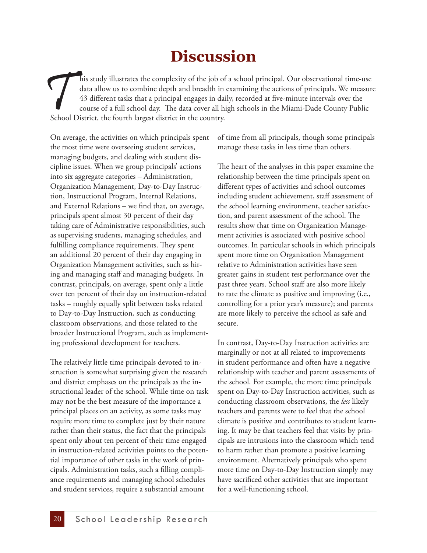### **Discussion**

his study illustrates the complexity of the job of a school principal. Our observational time-use data allow us to combine depth and breadth in examining the actions of principals. We measure 43 different tasks that a principal engages in daily, recorded at five-minute intervals over the course of a full school school of a school principal. Our observational time-use data allow us to combine depth and breadth in examining the actions of principals. We measu:<br>43 different tasks that a principal engages in d School District, the fourth largest district in the country.

On average, the activities on which principals spent the most time were overseeing student services, managing budgets, and dealing with student discipline issues. When we group principals' actions into six aggregate categories – Administration, Organization Management, Day-to-Day Instruction, Instructional Program, Internal Relations, and External Relations – we find that, on average, principals spent almost 30 percent of their day taking care of Administrative responsibilities, such as supervising students, managing schedules, and fulfilling compliance requirements. They spent an additional 20 percent of their day engaging in Organization Management activities, such as hiring and managing staff and managing budgets. In contrast, principals, on average, spent only a little over ten percent of their day on instruction-related tasks – roughly equally split between tasks related to Day-to-Day Instruction, such as conducting classroom observations, and those related to the broader Instructional Program, such as implementing professional development for teachers.

The relatively little time principals devoted to instruction is somewhat surprising given the research and district emphases on the principals as the instructional leader of the school. While time on task may not be the best measure of the importance a principal places on an activity, as some tasks may require more time to complete just by their nature rather than their status, the fact that the principals spent only about ten percent of their time engaged in instruction-related activities points to the potential importance of other tasks in the work of principals. Administration tasks, such a filling compliance requirements and managing school schedules and student services, require a substantial amount

of time from all principals, though some principals manage these tasks in less time than others.

The heart of the analyses in this paper examine the relationship between the time principals spent on different types of activities and school outcomes including student achievement, staff assessment of the school learning environment, teacher satisfaction, and parent assessment of the school. The results show that time on Organization Management activities is associated with positive school outcomes. In particular schools in which principals spent more time on Organization Management relative to Administration activities have seen greater gains in student test performance over the past three years. School staff are also more likely to rate the climate as positive and improving (i.e., controlling for a prior year's measure); and parents are more likely to perceive the school as safe and secure.

In contrast, Day-to-Day Instruction activities are marginally or not at all related to improvements in student performance and often have a negative relationship with teacher and parent assessments of the school. For example, the more time principals spent on Day-to-Day Instruction activities, such as conducting classroom observations, the *less* likely teachers and parents were to feel that the school climate is positive and contributes to student learning. It may be that teachers feel that visits by principals are intrusions into the classroom which tend to harm rather than promote a positive learning environment. Alternatively principals who spent more time on Day-to-Day Instruction simply may have sacrificed other activities that are important for a well-functioning school.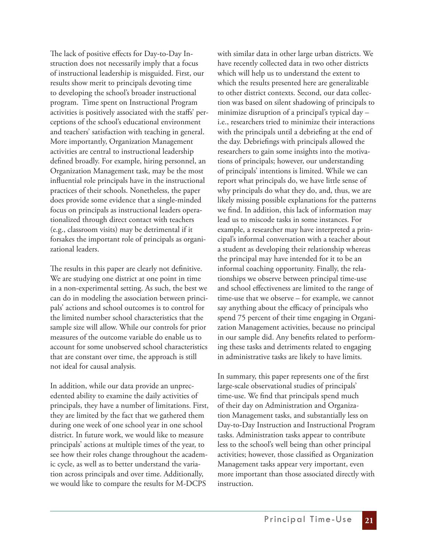The lack of positive effects for Day-to-Day Instruction does not necessarily imply that a focus of instructional leadership is misguided. First, our results show merit to principals devoting time to developing the school's broader instructional program. Time spent on Instructional Program activities is positively associated with the staffs' perceptions of the school's educational environment and teachers' satisfaction with teaching in general. More importantly, Organization Management activities are central to instructional leadership defined broadly. For example, hiring personnel, an Organization Management task, may be the most influential role principals have in the instructional practices of their schools. Nonetheless, the paper does provide some evidence that a single-minded focus on principals as instructional leaders operationalized through direct contact with teachers (e.g., classroom visits) may be detrimental if it forsakes the important role of principals as organizational leaders.

The results in this paper are clearly not definitive. We are studying one district at one point in time in a non-experimental setting. As such, the best we can do in modeling the association between principals' actions and school outcomes is to control for the limited number school characteristics that the sample size will allow. While our controls for prior measures of the outcome variable do enable us to account for some unobserved school characteristics that are constant over time, the approach is still not ideal for causal analysis.

In addition, while our data provide an unprecedented ability to examine the daily activities of principals, they have a number of limitations. First, they are limited by the fact that we gathered them during one week of one school year in one school district. In future work, we would like to measure principals' actions at multiple times of the year, to see how their roles change throughout the academic cycle, as well as to better understand the variation across principals and over time. Additionally, we would like to compare the results for M-DCPS

with similar data in other large urban districts. We have recently collected data in two other districts which will help us to understand the extent to which the results presented here are generalizable to other district contexts. Second, our data collection was based on silent shadowing of principals to minimize disruption of a principal's typical day – i.e., researchers tried to minimize their interactions with the principals until a debriefing at the end of the day. Debriefings with principals allowed the researchers to gain some insights into the motivations of principals; however, our understanding of principals' intentions is limited. While we can report what principals do, we have little sense of why principals do what they do, and, thus, we are likely missing possible explanations for the patterns we find. In addition, this lack of information may lead us to miscode tasks in some instances. For example, a researcher may have interpreted a principal's informal conversation with a teacher about a student as developing their relationship whereas the principal may have intended for it to be an informal coaching opportunity. Finally, the relationships we observe between principal time-use and school effectiveness are limited to the range of time-use that we observe – for example, we cannot say anything about the efficacy of principals who spend 75 percent of their time engaging in Organization Management activities, because no principal in our sample did. Any benefits related to performing these tasks and detriments related to engaging in administrative tasks are likely to have limits.

In summary, this paper represents one of the first large-scale observational studies of principals' time-use. We find that principals spend much of their day on Administration and Organization Management tasks, and substantially less on Day-to-Day Instruction and Instructional Program tasks. Administration tasks appear to contribute less to the school's well being than other principal activities; however, those classified as Organization Management tasks appear very important, even more important than those associated directly with instruction.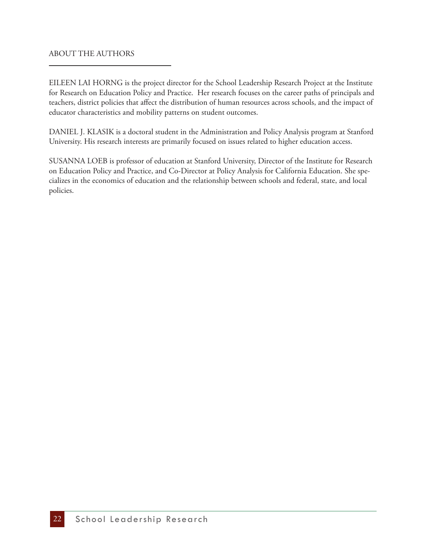#### ABOUT THE AUTHORS

EILEEN LAI HORNG is the project director for the School Leadership Research Project at the Institute for Research on Education Policy and Practice. Her research focuses on the career paths of principals and teachers, district policies that affect the distribution of human resources across schools, and the impact of educator characteristics and mobility patterns on student outcomes.

DANIEL J. KLASIK is a doctoral student in the Administration and Policy Analysis program at Stanford University. His research interests are primarily focused on issues related to higher education access.

SUSANNA LOEB is professor of education at Stanford University, Director of the Institute for Research on Education Policy and Practice, and Co-Director at Policy Analysis for California Education. She specializes in the economics of education and the relationship between schools and federal, state, and local policies.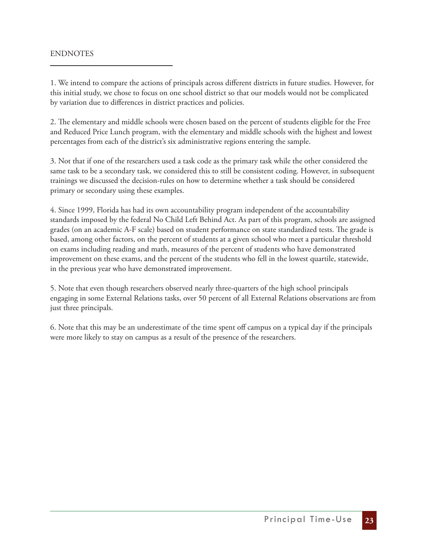#### ENDNOTES

1. We intend to compare the actions of principals across different districts in future studies. However, for this initial study, we chose to focus on one school district so that our models would not be complicated by variation due to differences in district practices and policies.

2. The elementary and middle schools were chosen based on the percent of students eligible for the Free and Reduced Price Lunch program, with the elementary and middle schools with the highest and lowest percentages from each of the district's six administrative regions entering the sample.

3. Not that if one of the researchers used a task code as the primary task while the other considered the same task to be a secondary task, we considered this to still be consistent coding. However, in subsequent trainings we discussed the decision-rules on how to determine whether a task should be considered primary or secondary using these examples.

4. Since 1999, Florida has had its own accountability program independent of the accountability standards imposed by the federal No Child Left Behind Act. As part of this program, schools are assigned grades (on an academic A-F scale) based on student performance on state standardized tests. The grade is based, among other factors, on the percent of students at a given school who meet a particular threshold on exams including reading and math, measures of the percent of students who have demonstrated improvement on these exams, and the percent of the students who fell in the lowest quartile, statewide, in the previous year who have demonstrated improvement.

5. Note that even though researchers observed nearly three-quarters of the high school principals engaging in some External Relations tasks, over 50 percent of all External Relations observations are from just three principals.

6. Note that this may be an underestimate of the time spent off campus on a typical day if the principals were more likely to stay on campus as a result of the presence of the researchers.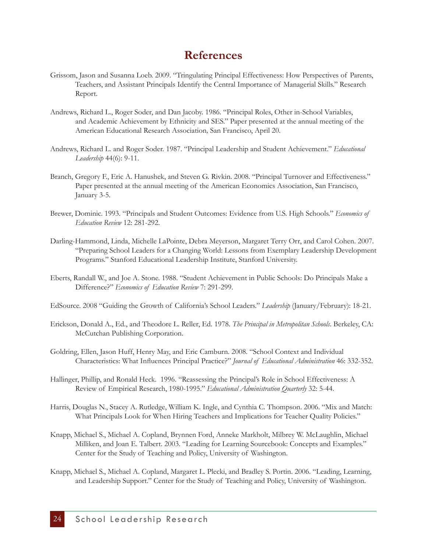#### **References**

- Grissom, Jason and Susanna Loeb. 2009. "Tringulating Principal Effectiveness: How Perspectives of Parents, Teachers, and Assistant Principals Identify the Central Importance of Managerial Skills." Research Report.
- Andrews, Richard L., Roger Soder, and Dan Jacoby. 1986. "Principal Roles, Other in-School Variables, and Academic Achievement by Ethnicity and SES." Paper presented at the annual meeting of the American Educational Research Association*,* San Francisco, April 20.
- Andrews, Richard L. and Roger Soder. 1987. "Principal Leadership and Student Achievement." *Educational Leadership* 44(6): 9-11.
- Branch, Gregory F., Eric A. Hanushek, and Steven G. Rivkin. 2008. "Principal Turnover and Effectiveness." Paper presented at the annual meeting of the American Economics Association, San Francisco, January 3-5.
- Brewer, Dominic. 1993. "Principals and Student Outcomes: Evidence from U.S. High Schools." *Economics of Education Review* 12: 281-292.
- Darling-Hammond, Linda, Michelle LaPointe, Debra Meyerson, Margaret Terry Orr, and Carol Cohen. 2007. "Preparing School Leaders for a Changing World: Lessons from Exemplary Leadership Development Programs." Stanford Educational Leadership Institute, Stanford University.
- Eberts, Randall W., and Joe A. Stone. 1988. "Student Achievement in Public Schools: Do Principals Make a Difference?" *Economics of Education Review* 7: 291-299.
- EdSource. 2008 "Guiding the Growth of California's School Leaders." *Leadership* (January/February): 18-21.
- Erickson, Donald A., Ed., and Theodore L. Reller, Ed. 1978. *The Principal in Metropolitan Schools*. Berkeley, CA: McCutchan Publishing Corporation.
- Goldring, Ellen, Jason Huff, Henry May, and Eric Camburn. 2008. "School Context and Individual Characteristics: What Influences Principal Practice?" *Journal of Educational Administration* 46: 332-352.
- Hallinger, Phillip, and Ronald Heck. 1996. "Reassessing the Principal's Role in School Effectiveness: A Review of Empirical Research, 1980-1995." *Educational Administration Quarterly* 32: 5-44.
- Harris, Douglas N., Stacey A. Rutledge, William K. Ingle, and Cynthia C. Thompson. 2006. "Mix and Match: What Principals Look for When Hiring Teachers and Implications for Teacher Quality Policies."
- Knapp, Michael S., Michael A. Copland, Brynnen Ford, Anneke Markholt, Milbrey W. McLaughlin, Michael Milliken, and Joan E. Talbert. 2003. "Leading for Learning Sourcebook: Concepts and Examples." Center for the Study of Teaching and Policy, University of Washington.
- Knapp, Michael S., Michael A. Copland, Margaret L. Plecki, and Bradley S. Portin. 2006. "Leading, Learning, and Leadership Support." Center for the Study of Teaching and Policy, University of Washington.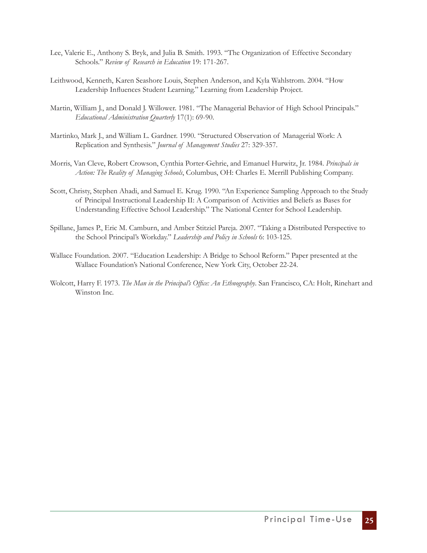- Lee, Valerie E., Anthony S. Bryk, and Julia B. Smith. 1993. "The Organization of Effective Secondary Schools." *Review of Research in Education* 19: 171-267.
- Leithwood, Kenneth, Karen Seashore Louis, Stephen Anderson, and Kyla Wahlstrom. 2004. "How Leadership Influences Student Learning." Learning from Leadership Project.
- Martin, William J., and Donald J. Willower. 1981. "The Managerial Behavior of High School Principals." *Educational Administration Quarterly* 17(1): 69-90.
- Martinko, Mark J., and William L. Gardner. 1990. "Structured Observation of Managerial Work: A Replication and Synthesis." *Journal of Management Studies* 27: 329-357.
- Morris, Van Cleve, Robert Crowson, Cynthia Porter-Gehrie, and Emanuel Hurwitz, Jr. 1984. *Principals in Action: The Reality of Managing Schools*, Columbus, OH: Charles E. Merrill Publishing Company.
- Scott, Christy, Stephen Ahadi, and Samuel E. Krug. 1990. "An Experience Sampling Approach to the Study of Principal Instructional Leadership II: A Comparison of Activities and Beliefs as Bases for Understanding Effective School Leadership." The National Center for School Leadership.
- Spillane, James P., Eric M. Camburn, and Amber Stitziel Pareja. 2007. "Taking a Distributed Perspective to the School Principal's Workday." *Leadership and Policy in Schools* 6: 103-125.
- Wallace Foundation. 2007. "Education Leadership: A Bridge to School Reform." Paper presented at the Wallace Foundation's National Conference, New York City, October 22-24.
- Wolcott, Harry F. 1973. *The Man in the Principal's Office: An Ethnography*. San Francisco, CA: Holt, Rinehart and Winston Inc.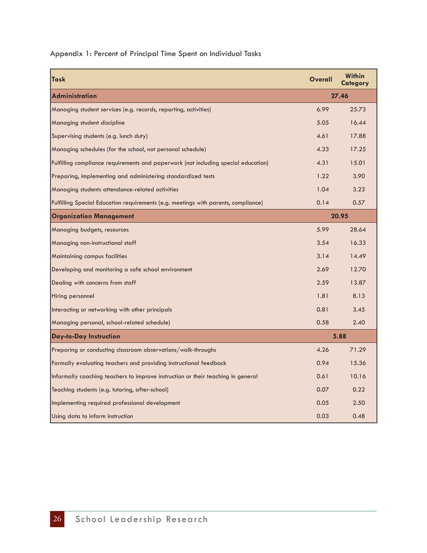#### Appendix 1: Percent of Principal Time Spent on Individual Tasks

| Task                                                                               | <b>Overall</b> | <b>Within</b><br>Category |  |
|------------------------------------------------------------------------------------|----------------|---------------------------|--|
| <b>Administration</b>                                                              | 27.46          |                           |  |
| Managing student services (e.g. records, reporting, activities)                    | 6.99           | 25.73                     |  |
| Managing student discipline                                                        | 5.05           | 16.44                     |  |
| Supervising students (e.g. lunch duty)                                             | 4.61           | 17.88                     |  |
| Managing schedules (for the school, not personal schedule)                         | 4.33           | 17.25                     |  |
| Fulfilling compliance requirements and paperwork (not including special education) | 4.31           | 15.01                     |  |
| Preparing, implementing and administering standardized tests                       | 1.22           | 3.90                      |  |
| Managing students attendance-related activities                                    | 1.04           | 3.23                      |  |
| Fulfilling Special Education requirements (e.g. meetings with parents, compliance) | 0.14           | 0.57                      |  |
| <b>Organization Management</b>                                                     |                | 20.95                     |  |
| Managing budgets, resources                                                        | 5.99           | 28.64                     |  |
| Managing non-instructional staff                                                   | 3.54           | 16.33                     |  |
| Maintaining campus facilities                                                      | 3.14           | 14.49                     |  |
| Developing and monitoring a safe school environment                                | 2.69           | 12.70                     |  |
| Dealing with concerns from staff                                                   | 2.59           | 13.87                     |  |
| Hiring personnel                                                                   | 1.81           | 8.13                      |  |
| Interacting or networking with other principals                                    | 0.81           | 3.45                      |  |
| Managing personal, school-related schedule)                                        | 0.58           | 2.40                      |  |
| Day-to-Day Instruction                                                             |                | 5.88                      |  |
| Preparing or conducting classroom observations/walk-throughs                       | 4.26           | 71.29                     |  |
| Formally evaluating teachers and providing instructional feedback                  | 0.94           | 15.36                     |  |
| Informally coaching teachers to improve instruction or their teaching in general   | 0.61           | 10.16                     |  |
| Teaching students (e.g. tutoring, after-school)                                    | 0.07           | 0.22                      |  |
| Implementing required professional development                                     | 0.05           | 2.50                      |  |
| Using data to inform instruction                                                   | 0.03           | 0.48                      |  |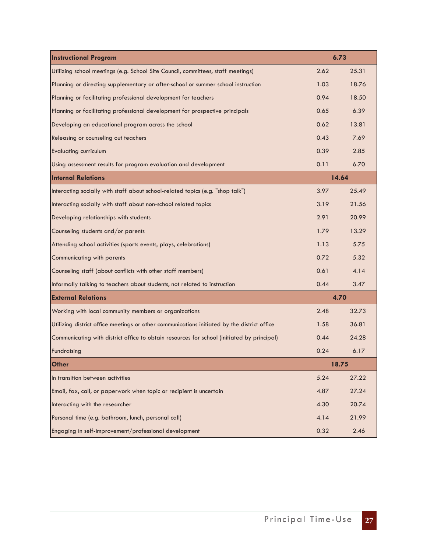| <b>Instructional Program</b>                                                                |       | 6.73  |
|---------------------------------------------------------------------------------------------|-------|-------|
| Utilizing school meetings (e.g. School Site Council, committees, staff meetings)            | 2.62  | 25.31 |
| Planning or directing supplementary or after-school or summer school instruction            | 1.03  | 18.76 |
| Planning or facilitating professional development for teachers                              | 0.94  | 18.50 |
| Planning or facilitating professional development for prospective principals                | 0.65  | 6.39  |
| Developing an educational program across the school                                         | 0.62  | 13.81 |
| Releasing or counseling out teachers                                                        | 0.43  | 7.69  |
| <b>Evaluating curriculum</b>                                                                | 0.39  | 2.85  |
| Using assessment results for program evaluation and development                             | 0.11  | 6.70  |
| <b>Internal Relations</b>                                                                   |       | 14.64 |
| Interacting socially with staff about school-related topics (e.g. "shop talk")              | 3.97  | 25.49 |
| Interacting socially with staff about non-school related topics                             | 3.19  | 21.56 |
| Developing relationships with students                                                      | 2.91  | 20.99 |
| Counseling students and/or parents                                                          | 1.79  | 13.29 |
| Attending school activities (sports events, plays, celebrations)                            | 1.13  | 5.75  |
| Communicating with parents                                                                  | 0.72  | 5.32  |
| Counseling staff (about conflicts with other staff members)                                 | 0.61  | 4.14  |
| Informally talking to teachers about students, not related to instruction                   | 0.44  | 3.47  |
| <b>External Relations</b>                                                                   |       | 4.70  |
| Working with local community members or organizations                                       | 2.48  | 32.73 |
| Utilizing district office meetings or other communications initiated by the district office | 1.58  | 36.81 |
| Communicating with district office to obtain resources for school (initiated by principal)  | 0.44  | 24.28 |
| Fundraising                                                                                 | 0.24  | 6.17  |
| <b>Other</b>                                                                                | 18.75 |       |
| In transition between activities                                                            | 5.24  | 27.22 |
| Email, fax, call, or paperwork when topic or recipient is uncertain                         | 4.87  | 27.24 |
| Interacting with the researcher                                                             | 4.30  | 20.74 |
| Personal time (e.g. bathroom, lunch, personal call)                                         | 4.14  | 21.99 |
| Engaging in self-improvement/professional development                                       | 0.32  | 2.46  |